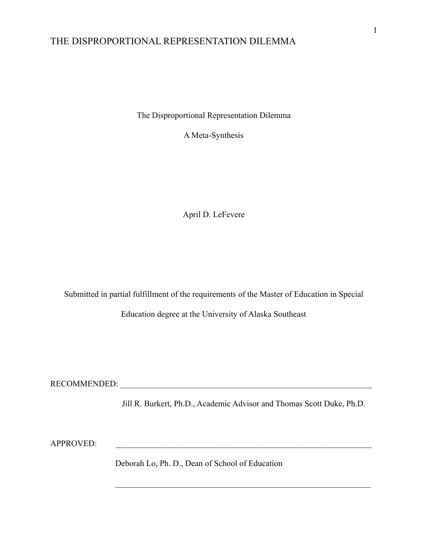The Disproportional Representation Dilemma

A Meta-Synthesis

April D. LeFevere

Submitted in partial fulfillment of the requirements of the Master of Education in Special

Education degree at the University of Alaska Southeast

RECOMMENDED:

Jill R. Burkert, Ph.D., Academic Advisor and Thomas Scott Duke, Ph.D.

 $\mathcal{L}_\text{max}$  and the contract of the contract of the contract of the contract of the contract of the contract of

APPROVED:

Deborah Lo, Ph. D., Dean of School of Education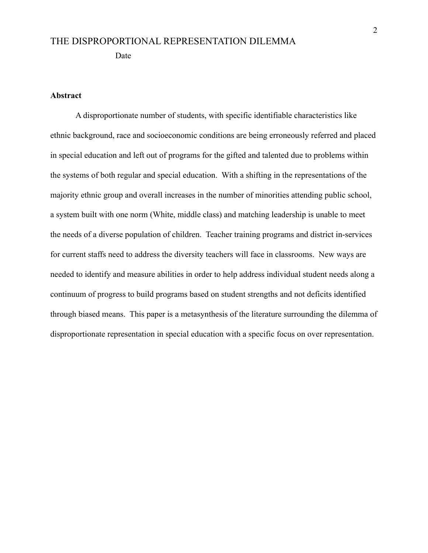#### **Abstract**

A disproportionate number of students, with specific identifiable characteristics like ethnic background, race and socioeconomic conditions are being erroneously referred and placed in special education and left out of programs for the gifted and talented due to problems within the systems of both regular and special education. With a shifting in the representations of the majority ethnic group and overall increases in the number of minorities attending public school, a system built with one norm (White, middle class) and matching leadership is unable to meet the needs of a diverse population of children. Teacher training programs and district in-services for current staffs need to address the diversity teachers will face in classrooms. New ways are needed to identify and measure abilities in order to help address individual student needs along a continuum of progress to build programs based on student strengths and not deficits identified through biased means. This paper is a metasynthesis of the literature surrounding the dilemma of disproportionate representation in special education with a specific focus on over representation.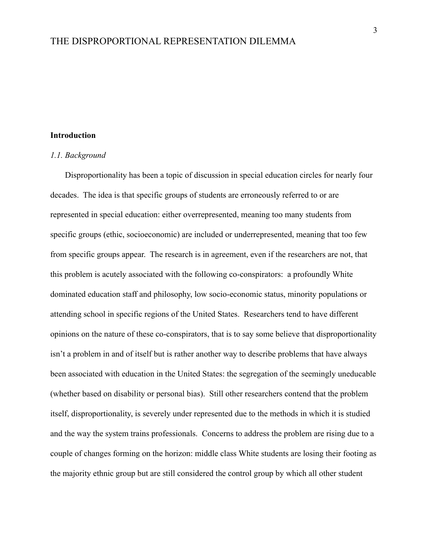#### **Introduction**

#### *1.1. Background*

Disproportionality has been a topic of discussion in special education circles for nearly four decades. The idea is that specific groups of students are erroneously referred to or are represented in special education: either overrepresented, meaning too many students from specific groups (ethic, socioeconomic) are included or underrepresented, meaning that too few from specific groups appear. The research is in agreement, even if the researchers are not, that this problem is acutely associated with the following co-conspirators: a profoundly White dominated education staff and philosophy, low socio-economic status, minority populations or attending school in specific regions of the United States. Researchers tend to have different opinions on the nature of these co-conspirators, that is to say some believe that disproportionality isn't a problem in and of itself but is rather another way to describe problems that have always been associated with education in the United States: the segregation of the seemingly uneducable (whether based on disability or personal bias). Still other researchers contend that the problem itself, disproportionality, is severely under represented due to the methods in which it is studied and the way the system trains professionals. Concerns to address the problem are rising due to a couple of changes forming on the horizon: middle class White students are losing their footing as the majority ethnic group but are still considered the control group by which all other student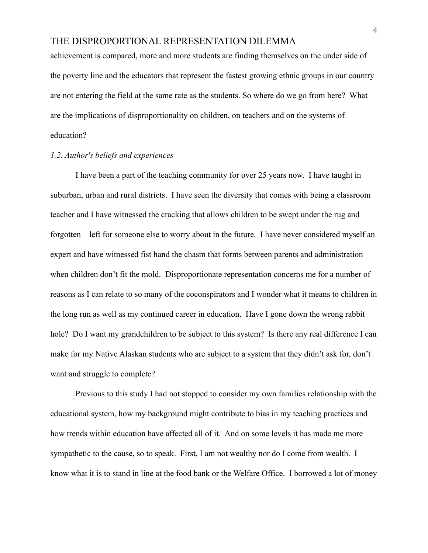achievement is compared, more and more students are finding themselves on the under side of the poverty line and the educators that represent the fastest growing ethnic groups in our country are not entering the field at the same rate as the students. So where do we go from here? What are the implications of disproportionality on children, on teachers and on the systems of education?

#### *1.2. Author's beliefs and experiences*

I have been a part of the teaching community for over 25 years now. I have taught in suburban, urban and rural districts. I have seen the diversity that comes with being a classroom teacher and I have witnessed the cracking that allows children to be swept under the rug and forgotten – left for someone else to worry about in the future. I have never considered myself an expert and have witnessed fist hand the chasm that forms between parents and administration when children don't fit the mold. Disproportionate representation concerns me for a number of reasons as I can relate to so many of the coconspirators and I wonder what it means to children in the long run as well as my continued career in education. Have I gone down the wrong rabbit hole? Do I want my grandchildren to be subject to this system? Is there any real difference I can make for my Native Alaskan students who are subject to a system that they didn't ask for, don't want and struggle to complete?

Previous to this study I had not stopped to consider my own families relationship with the educational system, how my background might contribute to bias in my teaching practices and how trends within education have affected all of it. And on some levels it has made me more sympathetic to the cause, so to speak. First, I am not wealthy nor do I come from wealth. I know what it is to stand in line at the food bank or the Welfare Office. I borrowed a lot of money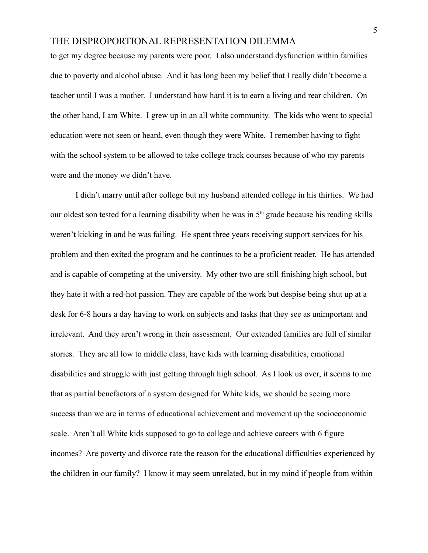to get my degree because my parents were poor. I also understand dysfunction within families due to poverty and alcohol abuse. And it has long been my belief that I really didn't become a teacher until I was a mother. I understand how hard it is to earn a living and rear children. On the other hand, I am White. I grew up in an all white community. The kids who went to special education were not seen or heard, even though they were White. I remember having to fight with the school system to be allowed to take college track courses because of who my parents were and the money we didn't have.

I didn't marry until after college but my husband attended college in his thirties. We had our oldest son tested for a learning disability when he was in  $5<sup>th</sup>$  grade because his reading skills weren't kicking in and he was failing. He spent three years receiving support services for his problem and then exited the program and he continues to be a proficient reader. He has attended and is capable of competing at the university. My other two are still finishing high school, but they hate it with a red-hot passion. They are capable of the work but despise being shut up at a desk for 6-8 hours a day having to work on subjects and tasks that they see as unimportant and irrelevant. And they aren't wrong in their assessment. Our extended families are full of similar stories. They are all low to middle class, have kids with learning disabilities, emotional disabilities and struggle with just getting through high school. As I look us over, it seems to me that as partial benefactors of a system designed for White kids, we should be seeing more success than we are in terms of educational achievement and movement up the socioeconomic scale. Aren't all White kids supposed to go to college and achieve careers with 6 figure incomes? Are poverty and divorce rate the reason for the educational difficulties experienced by the children in our family? I know it may seem unrelated, but in my mind if people from within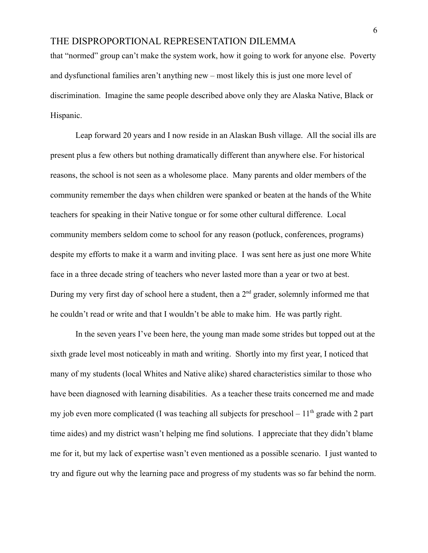that "normed" group can't make the system work, how it going to work for anyone else. Poverty and dysfunctional families aren't anything new – most likely this is just one more level of discrimination. Imagine the same people described above only they are Alaska Native, Black or Hispanic.

Leap forward 20 years and I now reside in an Alaskan Bush village. All the social ills are present plus a few others but nothing dramatically different than anywhere else. For historical reasons, the school is not seen as a wholesome place. Many parents and older members of the community remember the days when children were spanked or beaten at the hands of the White teachers for speaking in their Native tongue or for some other cultural difference. Local community members seldom come to school for any reason (potluck, conferences, programs) despite my efforts to make it a warm and inviting place. I was sent here as just one more White face in a three decade string of teachers who never lasted more than a year or two at best. During my very first day of school here a student, then a  $2<sup>nd</sup>$  grader, solemnly informed me that he couldn't read or write and that I wouldn't be able to make him. He was partly right.

In the seven years I've been here, the young man made some strides but topped out at the sixth grade level most noticeably in math and writing. Shortly into my first year, I noticed that many of my students (local Whites and Native alike) shared characteristics similar to those who have been diagnosed with learning disabilities. As a teacher these traits concerned me and made my job even more complicated (I was teaching all subjects for preschool  $-11<sup>th</sup>$  grade with 2 part time aides) and my district wasn't helping me find solutions. I appreciate that they didn't blame me for it, but my lack of expertise wasn't even mentioned as a possible scenario. I just wanted to try and figure out why the learning pace and progress of my students was so far behind the norm.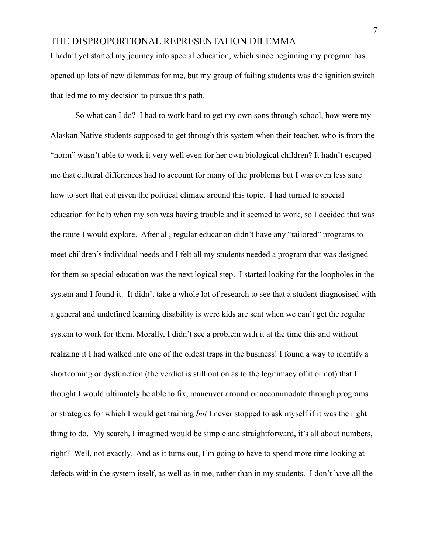I hadn't yet started my journey into special education, which since beginning my program has opened up lots of new dilemmas for me, but my group of failing students was the ignition switch that led me to my decision to pursue this path.

So what can I do? I had to work hard to get my own sons through school, how were my Alaskan Native students supposed to get through this system when their teacher, who is from the "norm" wasn't able to work it very well even for her own biological children? It hadn't escaped me that cultural differences had to account for many of the problems but I was even less sure how to sort that out given the political climate around this topic. I had turned to special education for help when my son was having trouble and it seemed to work, so I decided that was the route I would explore. After all, regular education didn't have any "tailored" programs to meet children's individual needs and I felt all my students needed a program that was designed for them so special education was the next logical step. I started looking for the loopholes in the system and I found it. It didn't take a whole lot of research to see that a student diagnosised with a general and undefined learning disability is were kids are sent when we can't get the regular system to work for them. Morally, I didn't see a problem with it at the time this and without realizing it I had walked into one of the oldest traps in the business! I found a way to identify a shortcoming or dysfunction (the verdict is still out on as to the legitimacy of it or not) that I thought I would ultimately be able to fix, maneuver around or accommodate through programs or strategies for which I would get training *but* I never stopped to ask myself if it was the right thing to do. My search, I imagined would be simple and straightforward, it's all about numbers, right? Well, not exactly. And as it turns out, I'm going to have to spend more time looking at defects within the system itself, as well as in me, rather than in my students. I don't have all the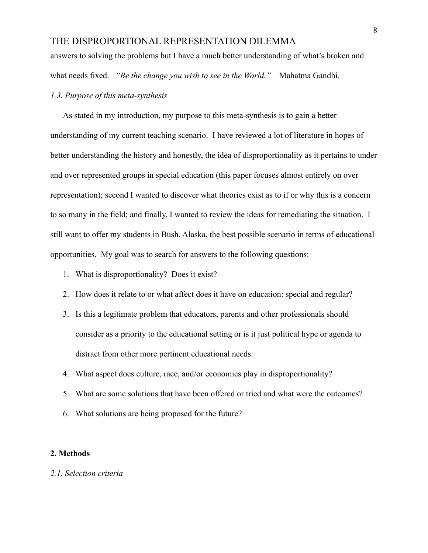answers to solving the problems but I have a much better understanding of what's broken and what needs fixed. *"Be the change you wish to see in the World."* – Mahatma Gandhi.

#### *1.3. Purpose of this meta-synthesis*

As stated in my introduction, my purpose to this meta-synthesis is to gain a better understanding of my current teaching scenario. I have reviewed a lot of literature in hopes of better understanding the history and honestly, the idea of disproportionality as it pertains to under and over represented groups in special education (this paper focuses almost entirely on over representation); second I wanted to discover what theories exist as to if or why this is a concern to so many in the field; and finally, I wanted to review the ideas for remediating the situation. I still want to offer my students in Bush, Alaska, the best possible scenario in terms of educational opportunities. My goal was to search for answers to the following questions:

- 1. What is disproportionality? Does it exist?
- 2. How does it relate to or what affect does it have on education: special and regular?
- 3. Is this a legitimate problem that educators, parents and other professionals should consider as a priority to the educational setting or is it just political hype or agenda to distract from other more pertinent educational needs.
- 4. What aspect does culture, race, and/or economics play in disproportionality?
- 5. What are some solutions that have been offered or tried and what were the outcomes?
- 6. What solutions are being proposed for the future?

#### **2. Methods**

#### *2.1. Selection criteria*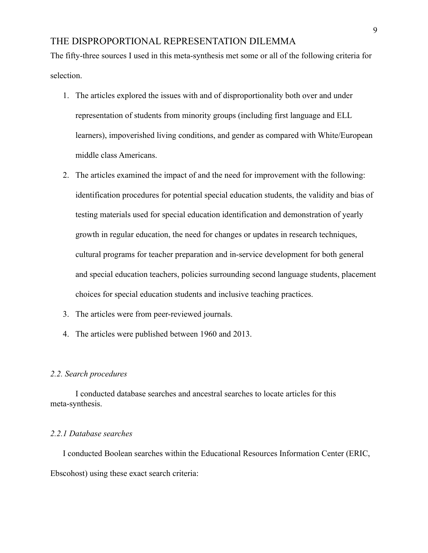The fifty-three sources I used in this meta-synthesis met some or all of the following criteria for selection.

- 1. The articles explored the issues with and of disproportionality both over and under representation of students from minority groups (including first language and ELL learners), impoverished living conditions, and gender as compared with White/European middle class Americans.
- 2. The articles examined the impact of and the need for improvement with the following: identification procedures for potential special education students, the validity and bias of testing materials used for special education identification and demonstration of yearly growth in regular education, the need for changes or updates in research techniques, cultural programs for teacher preparation and in-service development for both general and special education teachers, policies surrounding second language students, placement choices for special education students and inclusive teaching practices.
- 3. The articles were from peer-reviewed journals.
- 4. The articles were published between 1960 and 2013.

#### *2.2. Search procedures*

I conducted database searches and ancestral searches to locate articles for this meta-synthesis.

#### *2.2.1 Database searches*

I conducted Boolean searches within the Educational Resources Information Center (ERIC, Ebscohost) using these exact search criteria: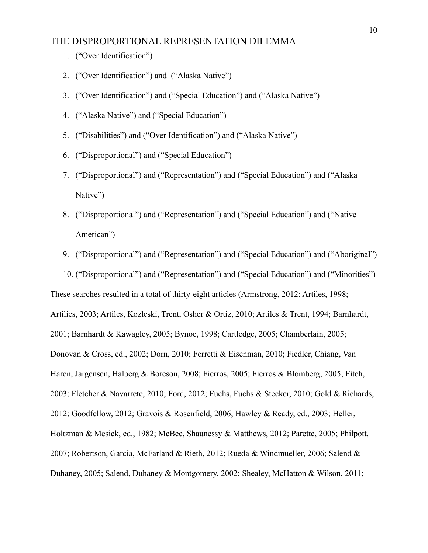- 1. ("Over Identification")
- 2. ("Over Identification") and ("Alaska Native")
- 3. ("Over Identification") and ("Special Education") and ("Alaska Native")
- 4. ("Alaska Native") and ("Special Education")
- 5. ("Disabilities") and ("Over Identification") and ("Alaska Native")
- 6. ("Disproportional") and ("Special Education")
- 7. ("Disproportional") and ("Representation") and ("Special Education") and ("Alaska Native")
- 8. ("Disproportional") and ("Representation") and ("Special Education") and ("Native American")
- 9. ("Disproportional") and ("Representation") and ("Special Education") and ("Aboriginal")

10. ("Disproportional") and ("Representation") and ("Special Education") and ("Minorities") These searches resulted in a total of thirty-eight articles (Armstrong, 2012; Artiles, 1998; Artilies, 2003; Artiles, Kozleski, Trent, Osher & Ortiz, 2010; Artiles & Trent, 1994; Barnhardt, 2001; Barnhardt & Kawagley, 2005; Bynoe, 1998; Cartledge, 2005; Chamberlain, 2005; Donovan & Cross, ed., 2002; Dorn, 2010; Ferretti & Eisenman, 2010; Fiedler, Chiang, Van Haren, Jargensen, Halberg & Boreson, 2008; Fierros, 2005; Fierros & Blomberg, 2005; Fitch, 2003; Fletcher & Navarrete, 2010; Ford, 2012; Fuchs, Fuchs & Stecker, 2010; Gold & Richards, 2012; Goodfellow, 2012; Gravois & Rosenfield, 2006; Hawley & Ready, ed., 2003; Heller, Holtzman & Mesick, ed., 1982; McBee, Shaunessy & Matthews, 2012; Parette, 2005; Philpott, 2007; Robertson, Garcia, McFarland & Rieth, 2012; Rueda & Windmueller, 2006; Salend & Duhaney, 2005; Salend, Duhaney & Montgomery, 2002; Shealey, McHatton & Wilson, 2011;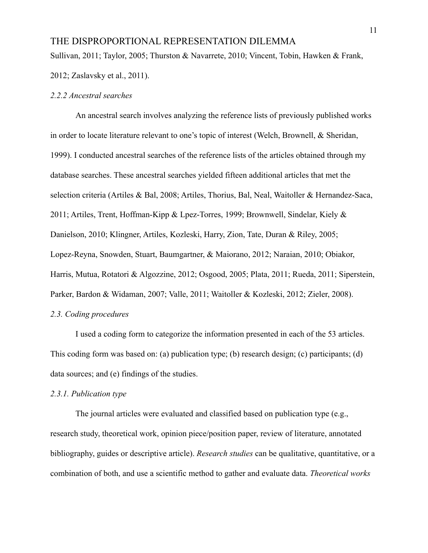Sullivan, 2011; Taylor, 2005; Thurston & Navarrete, 2010; Vincent, Tobin, Hawken & Frank,

2012; Zaslavsky et al., 2011).

#### *2.2.2 Ancestral searches*

An ancestral search involves analyzing the reference lists of previously published works in order to locate literature relevant to one's topic of interest (Welch, Brownell, & Sheridan, 1999). I conducted ancestral searches of the reference lists of the articles obtained through my database searches. These ancestral searches yielded fifteen additional articles that met the selection criteria (Artiles & Bal, 2008; Artiles, Thorius, Bal, Neal, Waitoller & Hernandez-Saca, 2011; Artiles, Trent, Hoffman-Kipp & Lpez-Torres, 1999; Brownwell, Sindelar, Kiely & Danielson, 2010; Klingner, Artiles, Kozleski, Harry, Zion, Tate, Duran & Riley, 2005; Lopez-Reyna, Snowden, Stuart, Baumgartner, & Maiorano, 2012; Naraian, 2010; Obiakor, Harris, Mutua, Rotatori & Algozzine, 2012; Osgood, 2005; Plata, 2011; Rueda, 2011; Siperstein, Parker, Bardon & Widaman, 2007; Valle, 2011; Waitoller & Kozleski, 2012; Zieler, 2008).

#### *2.3. Coding procedures*

I used a coding form to categorize the information presented in each of the 53 articles. This coding form was based on: (a) publication type; (b) research design; (c) participants; (d) data sources; and (e) findings of the studies.

#### *2.3.1. Publication type*

The journal articles were evaluated and classified based on publication type (e.g., research study, theoretical work, opinion piece/position paper, review of literature, annotated bibliography, guides or descriptive article). *Research studies* can be qualitative, quantitative, or a combination of both, and use a scientific method to gather and evaluate data. *Theoretical works*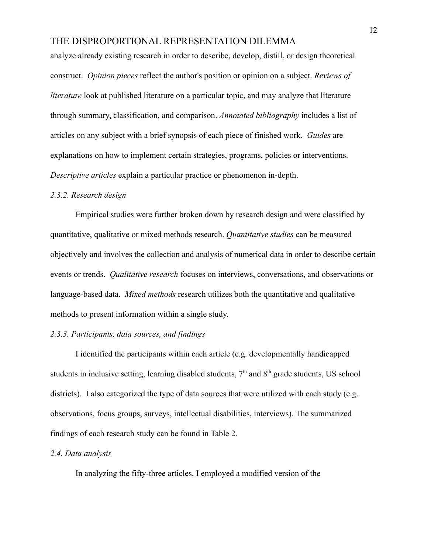analyze already existing research in order to describe, develop, distill, or design theoretical construct. *Opinion pieces* reflect the author's position or opinion on a subject. *Reviews of literature* look at published literature on a particular topic, and may analyze that literature through summary, classification, and comparison. *Annotated bibliography* includes a list of articles on any subject with a brief synopsis of each piece of finished work. *Guides* are explanations on how to implement certain strategies, programs, policies or interventions. *Descriptive articles* explain a particular practice or phenomenon in-depth.

#### *2.3.2. Research design*

Empirical studies were further broken down by research design and were classified by quantitative, qualitative or mixed methods research. *Quantitative studies* can be measured objectively and involves the collection and analysis of numerical data in order to describe certain events or trends. *Qualitative research* focuses on interviews, conversations, and observations or language-based data. *Mixed methods* research utilizes both the quantitative and qualitative methods to present information within a single study.

#### *2.3.3. Participants, data sources, and findings*

I identified the participants within each article (e.g. developmentally handicapped students in inclusive setting, learning disabled students,  $7<sup>th</sup>$  and  $8<sup>th</sup>$  grade students, US school districts). I also categorized the type of data sources that were utilized with each study (e.g. observations, focus groups, surveys, intellectual disabilities, interviews). The summarized findings of each research study can be found in Table 2.

#### *2.4. Data analysis*

In analyzing the fifty-three articles, I employed a modified version of the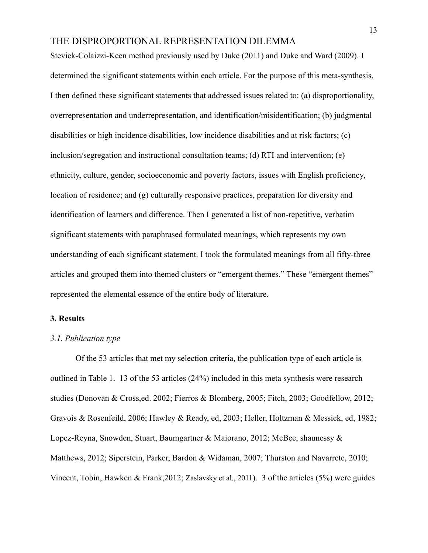Stevick-Colaizzi-Keen method previously used by Duke (2011) and Duke and Ward (2009). I determined the significant statements within each article. For the purpose of this meta-synthesis, I then defined these significant statements that addressed issues related to: (a) disproportionality, overrepresentation and underrepresentation, and identification/misidentification; (b) judgmental disabilities or high incidence disabilities, low incidence disabilities and at risk factors; (c) inclusion/segregation and instructional consultation teams; (d) RTI and intervention; (e) ethnicity, culture, gender, socioeconomic and poverty factors, issues with English proficiency, location of residence; and (g) culturally responsive practices, preparation for diversity and identification of learners and difference. Then I generated a list of non-repetitive, verbatim significant statements with paraphrased formulated meanings, which represents my own understanding of each significant statement. I took the formulated meanings from all fifty-three articles and grouped them into themed clusters or "emergent themes." These "emergent themes" represented the elemental essence of the entire body of literature.

#### **3. Results**

#### *3.1. Publication type*

Of the 53 articles that met my selection criteria, the publication type of each article is outlined in Table 1. 13 of the 53 articles (24%) included in this meta synthesis were research studies (Donovan & Cross,ed. 2002; Fierros & Blomberg, 2005; Fitch, 2003; Goodfellow, 2012; Gravois & Rosenfeild, 2006; Hawley & Ready, ed, 2003; Heller, Holtzman & Messick, ed, 1982; Lopez-Reyna, Snowden, Stuart, Baumgartner & Maiorano, 2012; McBee, shaunessy & Matthews, 2012; Siperstein, Parker, Bardon & Widaman, 2007; Thurston and Navarrete, 2010; Vincent, Tobin, Hawken & Frank,2012; Zaslavsky et al., 2011). 3 of the articles (5%) were guides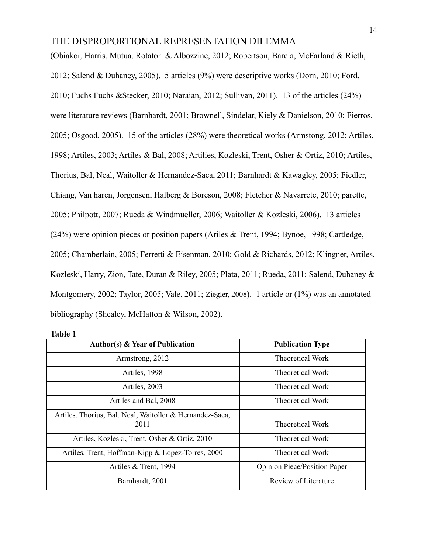(Obiakor, Harris, Mutua, Rotatori & Albozzine, 2012; Robertson, Barcia, McFarland & Rieth, 2012; Salend & Duhaney, 2005). 5 articles (9%) were descriptive works (Dorn, 2010; Ford, 2010; Fuchs Fuchs &Stecker, 2010; Naraian, 2012; Sullivan, 2011). 13 of the articles (24%) were literature reviews (Barnhardt, 2001; Brownell, Sindelar, Kiely & Danielson, 2010; Fierros, 2005; Osgood, 2005). 15 of the articles (28%) were theoretical works (Armstong, 2012; Artiles, 1998; Artiles, 2003; Artiles & Bal, 2008; Artilies, Kozleski, Trent, Osher & Ortiz, 2010; Artiles, Thorius, Bal, Neal, Waitoller & Hernandez-Saca, 2011; Barnhardt & Kawagley, 2005; Fiedler, Chiang, Van haren, Jorgensen, Halberg & Boreson, 2008; Fletcher & Navarrete, 2010; parette, 2005; Philpott, 2007; Rueda & Windmueller, 2006; Waitoller & Kozleski, 2006). 13 articles (24%) were opinion pieces or position papers (Ariles & Trent, 1994; Bynoe, 1998; Cartledge, 2005; Chamberlain, 2005; Ferretti & Eisenman, 2010; Gold & Richards, 2012; Klingner, Artiles, Kozleski, Harry, Zion, Tate, Duran & Riley, 2005; Plata, 2011; Rueda, 2011; Salend, Duhaney & Montgomery, 2002; Taylor, 2005; Vale, 2011; Ziegler, 2008). 1 article or (1%) was an annotated bibliography (Shealey, McHatton & Wilson, 2002).

| ı |  |
|---|--|
| × |  |

| <b>Author(s) &amp; Year of Publication</b>                       | <b>Publication Type</b>             |
|------------------------------------------------------------------|-------------------------------------|
| Armstrong, 2012                                                  | <b>Theoretical Work</b>             |
| Artiles, 1998                                                    | Theoretical Work                    |
| Artiles, 2003                                                    | <b>Theoretical Work</b>             |
| Artiles and Bal, 2008                                            | <b>Theoretical Work</b>             |
| Artiles, Thorius, Bal, Neal, Waitoller & Hernandez-Saca,<br>2011 | Theoretical Work                    |
| Artiles, Kozleski, Trent, Osher & Ortiz, 2010                    | Theoretical Work                    |
| Artiles, Trent, Hoffman-Kipp & Lopez-Torres, 2000                | Theoretical Work                    |
| Artiles & Trent, 1994                                            | <b>Opinion Piece/Position Paper</b> |
| Barnhardt, 2001                                                  | Review of Literature                |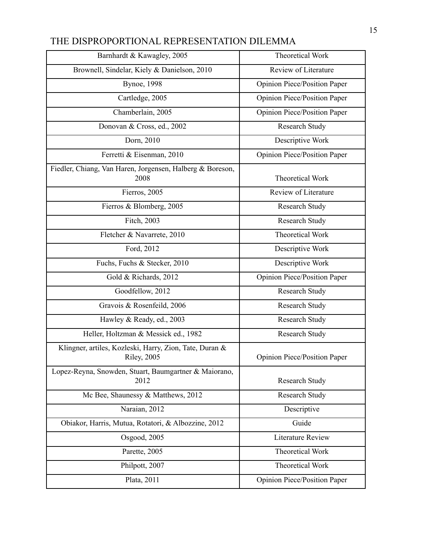| Barnhardt & Kawagley, 2005                                                     | Theoretical Work                    |
|--------------------------------------------------------------------------------|-------------------------------------|
| Brownell, Sindelar, Kiely & Danielson, 2010                                    | Review of Literature                |
| <b>Bynoe</b> , 1998                                                            | <b>Opinion Piece/Position Paper</b> |
| Cartledge, 2005                                                                | Opinion Piece/Position Paper        |
| Chamberlain, 2005                                                              | <b>Opinion Piece/Position Paper</b> |
| Donovan & Cross, ed., 2002                                                     | Research Study                      |
| Dorn, 2010                                                                     | Descriptive Work                    |
| Ferretti & Eisenman, 2010                                                      | Opinion Piece/Position Paper        |
| Fiedler, Chiang, Van Haren, Jorgensen, Halberg & Boreson,<br>2008              | Theoretical Work                    |
| Fierros, 2005                                                                  | Review of Literature                |
| Fierros & Blomberg, 2005                                                       | <b>Research Study</b>               |
| Fitch, 2003                                                                    | Research Study                      |
| Fletcher & Navarrete, 2010                                                     | Theoretical Work                    |
| Ford, 2012                                                                     | Descriptive Work                    |
| Fuchs, Fuchs & Stecker, 2010                                                   | Descriptive Work                    |
| Gold & Richards, 2012                                                          | <b>Opinion Piece/Position Paper</b> |
| Goodfellow, 2012                                                               | <b>Research Study</b>               |
| Gravois & Rosenfeild, 2006                                                     | <b>Research Study</b>               |
| Hawley & Ready, ed., 2003                                                      | <b>Research Study</b>               |
| Heller, Holtzman & Messick ed., 1982                                           | Research Study                      |
| Klingner, artiles, Kozleski, Harry, Zion, Tate, Duran &<br><b>Riley</b> , 2005 | Opinion Piece/Position Paper        |
| Lopez-Reyna, Snowden, Stuart, Baumgartner & Maiorano,<br>2012                  | Research Study                      |
| Mc Bee, Shaunessy & Matthews, 2012                                             | Research Study                      |
| Naraian, 2012                                                                  | Descriptive                         |
| Obiakor, Harris, Mutua, Rotatori, & Albozzine, 2012                            | Guide                               |
| Osgood, 2005                                                                   | <b>Literature Review</b>            |
| Parette, 2005                                                                  | Theoretical Work                    |
| Philpott, 2007                                                                 | Theoretical Work                    |
| Plata, 2011                                                                    | <b>Opinion Piece/Position Paper</b> |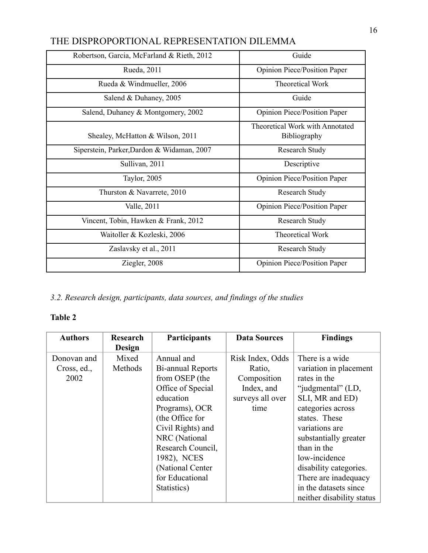| Robertson, Garcia, McFarland & Rieth, 2012 | Guide                                                  |
|--------------------------------------------|--------------------------------------------------------|
| Rueda, 2011                                | <b>Opinion Piece/Position Paper</b>                    |
| Rueda & Windmueller, 2006                  | <b>Theoretical Work</b>                                |
| Salend & Duhaney, 2005                     | Guide                                                  |
| Salend, Duhaney & Montgomery, 2002         | Opinion Piece/Position Paper                           |
| Shealey, McHatton & Wilson, 2011           | Theoretical Work with Annotated<br><b>Bibliography</b> |
| Siperstein, Parker, Dardon & Widaman, 2007 | <b>Research Study</b>                                  |
| Sullivan, 2011                             | Descriptive                                            |
| Taylor, 2005                               | <b>Opinion Piece/Position Paper</b>                    |
| Thurston & Navarrete, 2010                 | <b>Research Study</b>                                  |
| Valle, 2011                                | Opinion Piece/Position Paper                           |
| Vincent, Tobin, Hawken & Frank, 2012       | <b>Research Study</b>                                  |
| Waitoller & Kozleski, 2006                 | <b>Theoretical Work</b>                                |
| Zaslavsky et al., 2011                     | <b>Research Study</b>                                  |
| Ziegler, 2008                              | <b>Opinion Piece/Position Paper</b>                    |

*3.2. Research design, participants, data sources, and findings of the studies*

## **Table 2**

| <b>Authors</b> | <b>Research</b><br><b>Design</b> | <b>Participants</b> | <b>Data Sources</b> | <b>Findings</b>           |
|----------------|----------------------------------|---------------------|---------------------|---------------------------|
| Donovan and    | Mixed                            | Annual and          | Risk Index, Odds    | There is a wide           |
| Cross, ed.,    | Methods                          | Bi-annual Reports   | Ratio,              | variation in placement    |
| 2002           |                                  | from OSEP (the      | Composition         | rates in the              |
|                |                                  | Office of Special   | Index, and          | "judgmental" (LD,         |
|                |                                  | education           | surveys all over    | SLI, MR and ED)           |
|                |                                  | Programs), OCR      | time                | categories across         |
|                |                                  | (the Office for     |                     | states. These             |
|                |                                  | Civil Rights) and   |                     | variations are            |
|                |                                  | NRC (National       |                     | substantially greater     |
|                |                                  | Research Council,   |                     | than in the               |
|                |                                  | 1982), NCES         |                     | low-incidence             |
|                |                                  | (National Center    |                     | disability categories.    |
|                |                                  | for Educational     |                     | There are inadequacy      |
|                |                                  | Statistics)         |                     | in the datasets since     |
|                |                                  |                     |                     | neither disability status |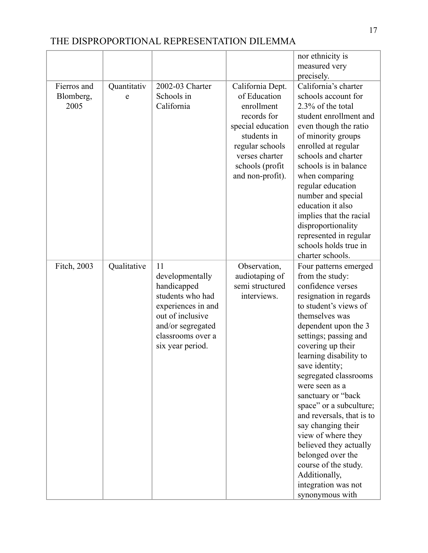|                                  |                  |                                                                                                                                                                  |                                                                                                                                                                               | nor ethnicity is                                                                                                                                                                                                                                                                                                                                                                                                                                                                                                                                            |
|----------------------------------|------------------|------------------------------------------------------------------------------------------------------------------------------------------------------------------|-------------------------------------------------------------------------------------------------------------------------------------------------------------------------------|-------------------------------------------------------------------------------------------------------------------------------------------------------------------------------------------------------------------------------------------------------------------------------------------------------------------------------------------------------------------------------------------------------------------------------------------------------------------------------------------------------------------------------------------------------------|
|                                  |                  |                                                                                                                                                                  |                                                                                                                                                                               | measured very<br>precisely.                                                                                                                                                                                                                                                                                                                                                                                                                                                                                                                                 |
| Fierros and<br>Blomberg,<br>2005 | Quantitativ<br>e | 2002-03 Charter<br>Schools in<br>California                                                                                                                      | California Dept.<br>of Education<br>enrollment<br>records for<br>special education<br>students in<br>regular schools<br>verses charter<br>schools (profit<br>and non-profit). | California's charter<br>schools account for<br>2.3% of the total<br>student enrollment and<br>even though the ratio<br>of minority groups<br>enrolled at regular<br>schools and charter<br>schools is in balance<br>when comparing<br>regular education<br>number and special<br>education it also<br>implies that the racial<br>disproportionality<br>represented in regular<br>schools holds true in<br>charter schools.                                                                                                                                  |
| Fitch, 2003                      | Qualitative      | 11<br>developmentally<br>handicapped<br>students who had<br>experiences in and<br>out of inclusive<br>and/or segregated<br>classrooms over a<br>six year period. | Observation,<br>audiotaping of<br>semi structured<br>interviews.                                                                                                              | Four patterns emerged<br>from the study:<br>confidence verses<br>resignation in regards<br>to student's views of<br>themselves was<br>dependent upon the 3<br>settings; passing and<br>covering up their<br>learning disability to<br>save identity;<br>segregated classrooms<br>were seen as a<br>sanctuary or "back<br>space" or a subculture;<br>and reversals, that is to<br>say changing their<br>view of where they<br>believed they actually<br>belonged over the<br>course of the study.<br>Additionally,<br>integration was not<br>synonymous with |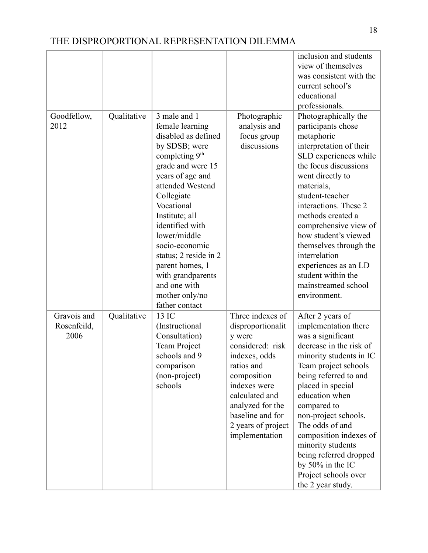|                                    |             |                                                                                                                                                                                                                                                                                                                                                                                  |                                                                                                                                                                                                                                     | inclusion and students<br>view of themselves<br>was consistent with the<br>current school's<br>educational<br>professionals.                                                                                                                                                                                                                                                                                              |
|------------------------------------|-------------|----------------------------------------------------------------------------------------------------------------------------------------------------------------------------------------------------------------------------------------------------------------------------------------------------------------------------------------------------------------------------------|-------------------------------------------------------------------------------------------------------------------------------------------------------------------------------------------------------------------------------------|---------------------------------------------------------------------------------------------------------------------------------------------------------------------------------------------------------------------------------------------------------------------------------------------------------------------------------------------------------------------------------------------------------------------------|
| Goodfellow,<br>2012                | Qualitative | 3 male and 1<br>female learning<br>disabled as defined<br>by SDSB; were<br>completing $9th$<br>grade and were 15<br>years of age and<br>attended Westend<br>Collegiate<br>Vocational<br>Institute; all<br>identified with<br>lower/middle<br>socio-economic<br>status; 2 reside in 2<br>parent homes, 1<br>with grandparents<br>and one with<br>mother only/no<br>father contact | Photographic<br>analysis and<br>focus group<br>discussions                                                                                                                                                                          | Photographically the<br>participants chose<br>metaphoric<br>interpretation of their<br>SLD experiences while<br>the focus discussions<br>went directly to<br>materials,<br>student-teacher<br>interactions. These 2<br>methods created a<br>comprehensive view of<br>how student's viewed<br>themselves through the<br>interrelation<br>experiences as an LD<br>student within the<br>mainstreamed school<br>environment. |
| Gravois and<br>Rosenfeild,<br>2006 | Qualitative | 13 IC<br>(Instructional)<br>Consultation)<br><b>Team Project</b><br>schools and 9<br>comparison<br>(non-project)<br>schools                                                                                                                                                                                                                                                      | Three indexes of<br>disproportionalit<br>y were<br>considered: risk<br>indexes, odds<br>ratios and<br>composition<br>indexes were<br>calculated and<br>analyzed for the<br>baseline and for<br>2 years of project<br>implementation | After 2 years of<br>implementation there<br>was a significant<br>decrease in the risk of<br>minority students in IC<br>Team project schools<br>being referred to and<br>placed in special<br>education when<br>compared to<br>non-project schools.<br>The odds of and<br>composition indexes of<br>minority students<br>being referred dropped<br>by 50% in the IC<br>Project schools over<br>the 2 year study.           |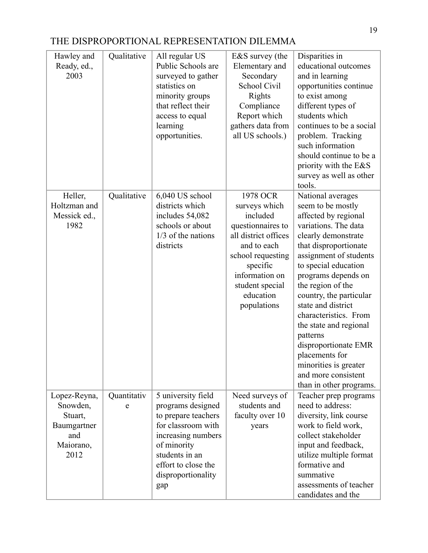| Hawley and<br>Ready, ed.,<br>2003                                              | Qualitative      | All regular US<br>Public Schools are<br>surveyed to gather<br>statistics on<br>minority groups<br>that reflect their<br>access to equal<br>learning<br>opportunities.                           | E&S survey (the<br>Elementary and<br>Secondary<br>School Civil<br>Rights<br>Compliance<br>Report which<br>gathers data from<br>all US schools.)                                                     | Disparities in<br>educational outcomes<br>and in learning<br>opportunities continue<br>to exist among<br>different types of<br>students which<br>continues to be a social<br>problem. Tracking<br>such information<br>should continue to be a<br>priority with the E&S<br>survey as well as other<br>tools.                                                                                                                                                               |
|--------------------------------------------------------------------------------|------------------|-------------------------------------------------------------------------------------------------------------------------------------------------------------------------------------------------|-----------------------------------------------------------------------------------------------------------------------------------------------------------------------------------------------------|---------------------------------------------------------------------------------------------------------------------------------------------------------------------------------------------------------------------------------------------------------------------------------------------------------------------------------------------------------------------------------------------------------------------------------------------------------------------------|
| Heller,<br>Holtzman and<br>Messick ed.,<br>1982                                | Qualitative      | 6,040 US school<br>districts which<br>includes 54,082<br>schools or about<br>$1/3$ of the nations<br>districts                                                                                  | 1978 OCR<br>surveys which<br>included<br>questionnaires to<br>all district offices<br>and to each<br>school requesting<br>specific<br>information on<br>student special<br>education<br>populations | National averages<br>seem to be mostly<br>affected by regional<br>variations. The data<br>clearly demonstrate<br>that disproportionate<br>assignment of students<br>to special education<br>programs depends on<br>the region of the<br>country, the particular<br>state and district<br>characteristics. From<br>the state and regional<br>patterns<br>disproportionate EMR<br>placements for<br>minorities is greater<br>and more consistent<br>than in other programs. |
| Lopez-Reyna,<br>Snowden,<br>Stuart,<br>Baumgartner<br>and<br>Maiorano,<br>2012 | Quantitativ<br>e | 5 university field<br>programs designed<br>to prepare teachers<br>for classroom with<br>increasing numbers<br>of minority<br>students in an<br>effort to close the<br>disproportionality<br>gap | Need surveys of<br>students and<br>faculty over 10<br>years                                                                                                                                         | Teacher prep programs<br>need to address:<br>diversity, link course<br>work to field work,<br>collect stakeholder<br>input and feedback,<br>utilize multiple format<br>formative and<br>summative<br>assessments of teacher<br>candidates and the                                                                                                                                                                                                                         |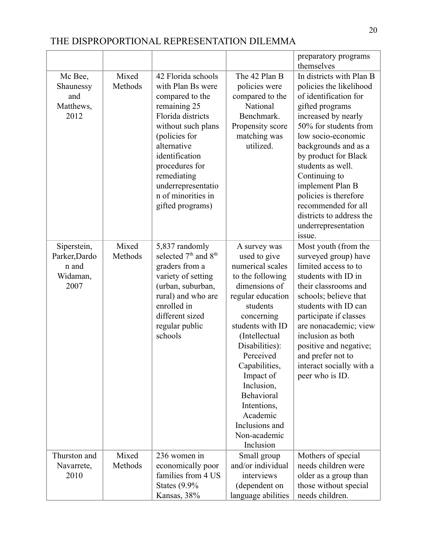|                                                           |                  |                                                                                                                                                                                                                                                                          |                                                                                                                                                                                                                                                                                                                                              | preparatory programs<br>themselves                                                                                                                                                                                                                                                                                                                                                           |
|-----------------------------------------------------------|------------------|--------------------------------------------------------------------------------------------------------------------------------------------------------------------------------------------------------------------------------------------------------------------------|----------------------------------------------------------------------------------------------------------------------------------------------------------------------------------------------------------------------------------------------------------------------------------------------------------------------------------------------|----------------------------------------------------------------------------------------------------------------------------------------------------------------------------------------------------------------------------------------------------------------------------------------------------------------------------------------------------------------------------------------------|
| Mc Bee,<br>Shaunessy<br>and<br>Matthews,<br>2012          | Mixed<br>Methods | 42 Florida schools<br>with Plan Bs were<br>compared to the<br>remaining 25<br>Florida districts<br>without such plans<br>(policies for<br>alternative<br>identification<br>procedures for<br>remediating<br>underrepresentatio<br>n of minorities in<br>gifted programs) | The 42 Plan B<br>policies were<br>compared to the<br>National<br>Benchmark.<br>Propensity score<br>matching was<br>utilized.                                                                                                                                                                                                                 | In districts with Plan B<br>policies the likelihood<br>of identification for<br>gifted programs<br>increased by nearly<br>50% for students from<br>low socio-economic<br>backgrounds and as a<br>by product for Black<br>students as well.<br>Continuing to<br>implement Plan B<br>policies is therefore<br>recommended for all<br>districts to address the<br>underrepresentation<br>issue. |
| Siperstein,<br>Parker, Dardo<br>n and<br>Widaman,<br>2007 | Mixed<br>Methods | 5,837 randomly<br>selected 7 <sup>th</sup> and 8 <sup>th</sup><br>graders from a<br>variety of setting<br>(urban, suburban,<br>rural) and who are<br>enrolled in<br>different sized<br>regular public<br>schools                                                         | A survey was<br>used to give<br>numerical scales<br>to the following<br>dimensions of<br>regular education<br>students<br>concerning<br>students with ID<br>(Intellectual<br>Disabilities):<br>Perceived<br>Capabilities,<br>Impact of<br>Inclusion,<br>Behavioral<br>Intentions,<br>Academic<br>Inclusions and<br>Non-academic<br>Inclusion | Most youth (from the<br>surveyed group) have<br>limited access to to<br>students with ID in<br>their classrooms and<br>schools; believe that<br>students with ID can<br>participate if classes<br>are nonacademic; view<br>inclusion as both<br>positive and negative;<br>and prefer not to<br>interact socially with a<br>peer who is ID.                                                   |
| Thurston and<br>Navarrete,<br>2010                        | Mixed<br>Methods | 236 women in<br>economically poor<br>families from 4 US<br>States $(9.9\%$<br>Kansas, 38%                                                                                                                                                                                | Small group<br>and/or individual<br>interviews<br>(dependent on<br>language abilities                                                                                                                                                                                                                                                        | Mothers of special<br>needs children were<br>older as a group than<br>those without special<br>needs children.                                                                                                                                                                                                                                                                               |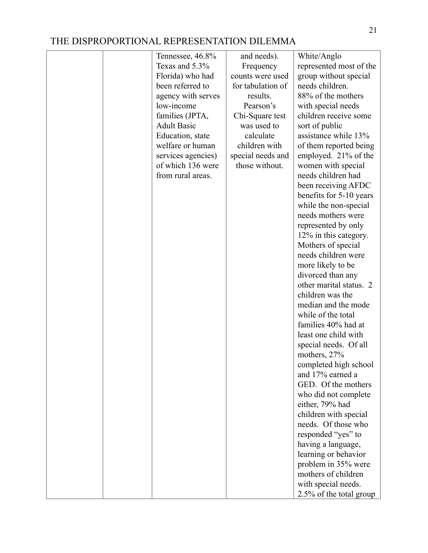| Tennessee, 46.8%   | and needs).       | White/Anglo             |
|--------------------|-------------------|-------------------------|
| Texas and 5.3%     | Frequency         | represented most of the |
| Florida) who had   | counts were used  | group without special   |
| been referred to   | for tabulation of | needs children.         |
| agency with serves | results.          | 88% of the mothers      |
| low-income         | Pearson's         | with special needs      |
| families (JPTA,    | Chi-Square test   | children receive some   |
| <b>Adult Basic</b> | was used to       | sort of public          |
| Education, state   | calculate         | assistance while 13%    |
| welfare or human   | children with     | of them reported being  |
| services agencies) | special needs and | employed. 21% of the    |
| of which 136 were  | those without.    | women with special      |
| from rural areas.  |                   | needs children had      |
|                    |                   | been receiving AFDC     |
|                    |                   | benefits for 5-10 years |
|                    |                   | while the non-special   |
|                    |                   | needs mothers were      |
|                    |                   | represented by only     |
|                    |                   | 12% in this category.   |
|                    |                   | Mothers of special      |
|                    |                   | needs children were     |
|                    |                   | more likely to be       |
|                    |                   | divorced than any       |
|                    |                   | other marital status. 2 |
|                    |                   | children was the        |
|                    |                   | median and the mode     |
|                    |                   | while of the total      |
|                    |                   | families 40% had at     |
|                    |                   | least one child with    |
|                    |                   | special needs. Of all   |
|                    |                   | mothers, 27%            |
|                    |                   | completed high school   |
|                    |                   | and 17% earned a        |
|                    |                   | GED. Of the mothers     |
|                    |                   | who did not complete    |
|                    |                   | either, 79% had         |
|                    |                   | children with special   |
|                    |                   | needs. Of those who     |
|                    |                   | responded "yes" to      |
|                    |                   | having a language,      |
|                    |                   | learning or behavior    |
|                    |                   | problem in 35% were     |
|                    |                   | mothers of children     |
|                    |                   | with special needs.     |
|                    |                   | 2.5% of the total group |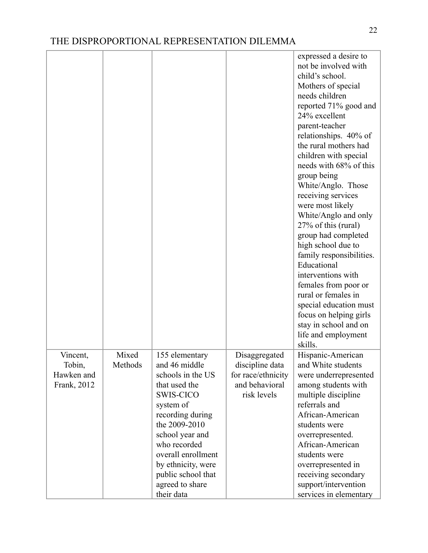|                    |                  |                                 |                                  | expressed a desire to<br>not be involved with<br>child's school.<br>Mothers of special<br>needs children<br>reported 71% good and<br>24% excellent<br>parent-teacher<br>relationships. 40% of<br>the rural mothers had<br>children with special<br>needs with 68% of this<br>group being<br>White/Anglo. Those<br>receiving services<br>were most likely<br>White/Anglo and only<br>27% of this (rural)<br>group had completed<br>high school due to<br>family responsibilities.<br>Educational<br>interventions with<br>females from poor or<br>rural or females in<br>special education must<br>focus on helping girls<br>stay in school and on<br>life and employment<br>skills. |
|--------------------|------------------|---------------------------------|----------------------------------|-------------------------------------------------------------------------------------------------------------------------------------------------------------------------------------------------------------------------------------------------------------------------------------------------------------------------------------------------------------------------------------------------------------------------------------------------------------------------------------------------------------------------------------------------------------------------------------------------------------------------------------------------------------------------------------|
| Vincent,<br>Tobin, | Mixed<br>Methods | 155 elementary<br>and 46 middle | Disaggregated<br>discipline data | Hispanic-American<br>and White students                                                                                                                                                                                                                                                                                                                                                                                                                                                                                                                                                                                                                                             |
| Hawken and         |                  | schools in the US               | for race/ethnicity               | were underrepresented                                                                                                                                                                                                                                                                                                                                                                                                                                                                                                                                                                                                                                                               |
| Frank, 2012        |                  | that used the                   | and behavioral                   | among students with                                                                                                                                                                                                                                                                                                                                                                                                                                                                                                                                                                                                                                                                 |
|                    |                  | <b>SWIS-CICO</b>                | risk levels                      | multiple discipline                                                                                                                                                                                                                                                                                                                                                                                                                                                                                                                                                                                                                                                                 |
|                    |                  | system of                       |                                  | referrals and                                                                                                                                                                                                                                                                                                                                                                                                                                                                                                                                                                                                                                                                       |
|                    |                  | recording during                |                                  | African-American                                                                                                                                                                                                                                                                                                                                                                                                                                                                                                                                                                                                                                                                    |
|                    |                  | the 2009-2010                   |                                  | students were                                                                                                                                                                                                                                                                                                                                                                                                                                                                                                                                                                                                                                                                       |
|                    |                  | school year and                 |                                  | overrepresented.                                                                                                                                                                                                                                                                                                                                                                                                                                                                                                                                                                                                                                                                    |
|                    |                  | who recorded                    |                                  | African-American                                                                                                                                                                                                                                                                                                                                                                                                                                                                                                                                                                                                                                                                    |
|                    |                  | overall enrollment              |                                  | students were                                                                                                                                                                                                                                                                                                                                                                                                                                                                                                                                                                                                                                                                       |
|                    |                  | by ethnicity, were              |                                  | overrepresented in                                                                                                                                                                                                                                                                                                                                                                                                                                                                                                                                                                                                                                                                  |
|                    |                  | public school that              |                                  | receiving secondary                                                                                                                                                                                                                                                                                                                                                                                                                                                                                                                                                                                                                                                                 |
|                    |                  | agreed to share<br>their data   |                                  | support/intervention<br>services in elementary                                                                                                                                                                                                                                                                                                                                                                                                                                                                                                                                                                                                                                      |
|                    |                  |                                 |                                  |                                                                                                                                                                                                                                                                                                                                                                                                                                                                                                                                                                                                                                                                                     |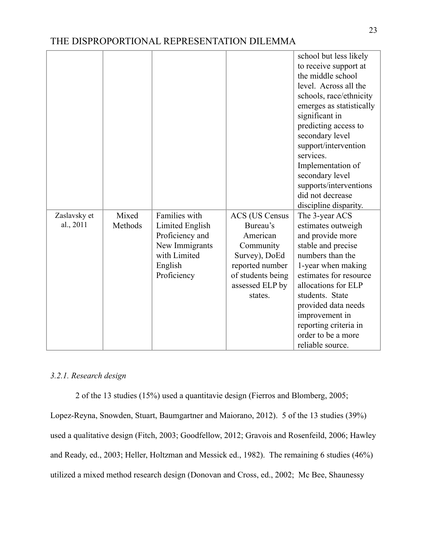|                           |                  |                                                                                                                 |                                                                                                                                                   | school but less likely<br>to receive support at<br>the middle school<br>level. Across all the<br>schools, race/ethnicity<br>emerges as statistically<br>significant in<br>predicting access to<br>secondary level<br>support/intervention<br>services.<br>Implementation of<br>secondary level<br>supports/interventions<br>did not decrease<br>discipline disparity. |
|---------------------------|------------------|-----------------------------------------------------------------------------------------------------------------|---------------------------------------------------------------------------------------------------------------------------------------------------|-----------------------------------------------------------------------------------------------------------------------------------------------------------------------------------------------------------------------------------------------------------------------------------------------------------------------------------------------------------------------|
| Zaslavsky et<br>al., 2011 | Mixed<br>Methods | Families with<br>Limited English<br>Proficiency and<br>New Immigrants<br>with Limited<br>English<br>Proficiency | <b>ACS</b> (US Census<br>Bureau's<br>American<br>Community<br>Survey), DoEd<br>reported number<br>of students being<br>assessed ELP by<br>states. | The 3-year ACS<br>estimates outweigh<br>and provide more<br>stable and precise<br>numbers than the<br>1-year when making<br>estimates for resource<br>allocations for ELP<br>students. State<br>provided data needs<br>improvement in<br>reporting criteria in<br>order to be a more<br>reliable source.                                                              |

## *3.2.1. Research design*

2 of the 13 studies (15%) used a quantitavie design (Fierros and Blomberg, 2005;

Lopez-Reyna, Snowden, Stuart, Baumgartner and Maiorano, 2012). 5 of the 13 studies (39%) used a qualitative design (Fitch, 2003; Goodfellow, 2012; Gravois and Rosenfeild, 2006; Hawley and Ready, ed., 2003; Heller, Holtzman and Messick ed., 1982). The remaining 6 studies (46%) utilized a mixed method research design (Donovan and Cross, ed., 2002; Mc Bee, Shaunessy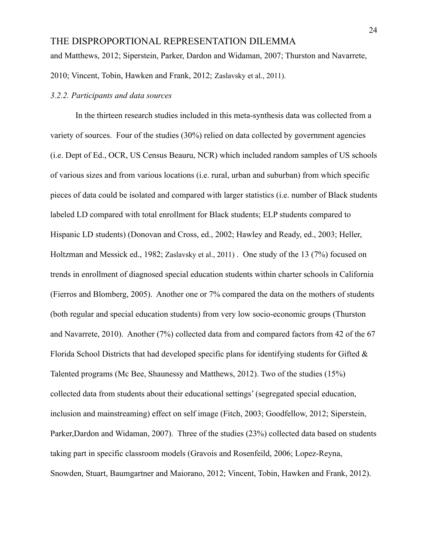and Matthews, 2012; Siperstein, Parker, Dardon and Widaman, 2007; Thurston and Navarrete, 2010; Vincent, Tobin, Hawken and Frank, 2012; Zaslavsky et al., 2011).

#### *3.2.2. Participants and data sources*

In the thirteen research studies included in this meta-synthesis data was collected from a variety of sources. Four of the studies (30%) relied on data collected by government agencies (i.e. Dept of Ed., OCR, US Census Beauru, NCR) which included random samples of US schools of various sizes and from various locations (i.e. rural, urban and suburban) from which specific pieces of data could be isolated and compared with larger statistics (i.e. number of Black students labeled LD compared with total enrollment for Black students; ELP students compared to Hispanic LD students) (Donovan and Cross, ed., 2002; Hawley and Ready, ed., 2003; Heller, Holtzman and Messick ed., 1982; Zaslavsky et al., 2011) . One study of the 13 (7%) focused on trends in enrollment of diagnosed special education students within charter schools in California (Fierros and Blomberg, 2005). Another one or 7% compared the data on the mothers of students (both regular and special education students) from very low socio-economic groups (Thurston and Navarrete, 2010). Another (7%) collected data from and compared factors from 42 of the 67 Florida School Districts that had developed specific plans for identifying students for Gifted  $\&$ Talented programs (Mc Bee, Shaunessy and Matthews, 2012). Two of the studies (15%) collected data from students about their educational settings' (segregated special education, inclusion and mainstreaming) effect on self image (Fitch, 2003; Goodfellow, 2012; Siperstein, Parker,Dardon and Widaman, 2007). Three of the studies (23%) collected data based on students taking part in specific classroom models (Gravois and Rosenfeild, 2006; Lopez-Reyna, Snowden, Stuart, Baumgartner and Maiorano, 2012; Vincent, Tobin, Hawken and Frank, 2012).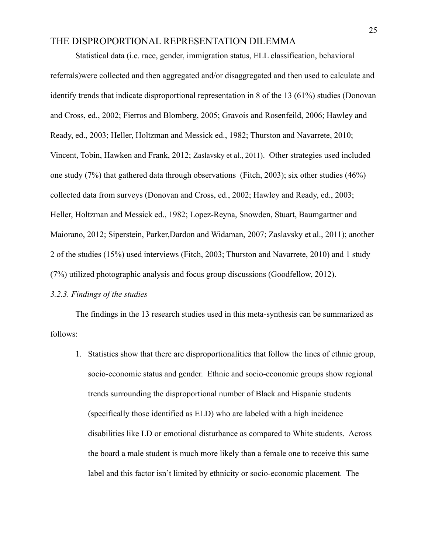Statistical data (i.e. race, gender, immigration status, ELL classification, behavioral referrals)were collected and then aggregated and/or disaggregated and then used to calculate and identify trends that indicate disproportional representation in 8 of the 13 (61%) studies (Donovan and Cross, ed., 2002; Fierros and Blomberg, 2005; Gravois and Rosenfeild, 2006; Hawley and Ready, ed., 2003; Heller, Holtzman and Messick ed., 1982; Thurston and Navarrete, 2010; Vincent, Tobin, Hawken and Frank, 2012; Zaslavsky et al., 2011). Other strategies used included one study (7%) that gathered data through observations (Fitch, 2003); six other studies (46%) collected data from surveys (Donovan and Cross, ed., 2002; Hawley and Ready, ed., 2003; Heller, Holtzman and Messick ed., 1982; Lopez-Reyna, Snowden, Stuart, Baumgartner and Maiorano, 2012; Siperstein, Parker,Dardon and Widaman, 2007; Zaslavsky et al., 2011); another 2 of the studies (15%) used interviews (Fitch, 2003; Thurston and Navarrete, 2010) and 1 study (7%) utilized photographic analysis and focus group discussions (Goodfellow, 2012).

#### *3.2.3. Findings of the studies*

The findings in the 13 research studies used in this meta-synthesis can be summarized as follows:

1. Statistics show that there are disproportionalities that follow the lines of ethnic group, socio-economic status and gender. Ethnic and socio-economic groups show regional trends surrounding the disproportional number of Black and Hispanic students (specifically those identified as ELD) who are labeled with a high incidence disabilities like LD or emotional disturbance as compared to White students. Across the board a male student is much more likely than a female one to receive this same label and this factor isn't limited by ethnicity or socio-economic placement. The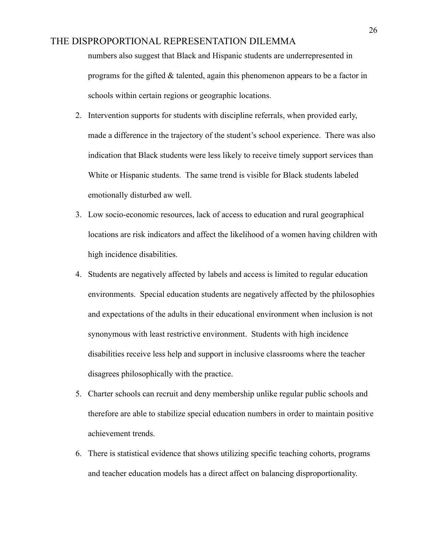numbers also suggest that Black and Hispanic students are underrepresented in programs for the gifted & talented, again this phenomenon appears to be a factor in schools within certain regions or geographic locations.

- 2. Intervention supports for students with discipline referrals, when provided early, made a difference in the trajectory of the student's school experience. There was also indication that Black students were less likely to receive timely support services than White or Hispanic students. The same trend is visible for Black students labeled emotionally disturbed aw well.
- 3. Low socio-economic resources, lack of access to education and rural geographical locations are risk indicators and affect the likelihood of a women having children with high incidence disabilities.
- 4. Students are negatively affected by labels and access is limited to regular education environments. Special education students are negatively affected by the philosophies and expectations of the adults in their educational environment when inclusion is not synonymous with least restrictive environment. Students with high incidence disabilities receive less help and support in inclusive classrooms where the teacher disagrees philosophically with the practice.
- 5. Charter schools can recruit and deny membership unlike regular public schools and therefore are able to stabilize special education numbers in order to maintain positive achievement trends.
- 6. There is statistical evidence that shows utilizing specific teaching cohorts, programs and teacher education models has a direct affect on balancing disproportionality.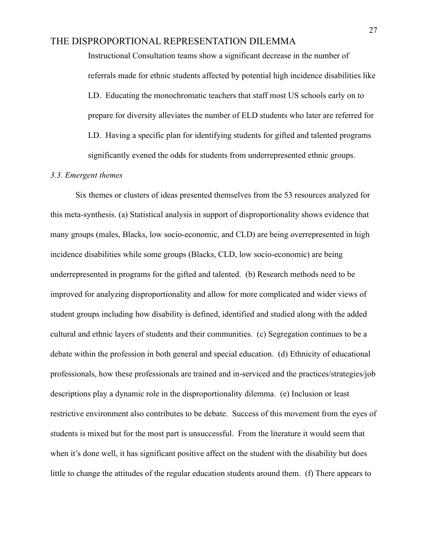Instructional Consultation teams show a significant decrease in the number of referrals made for ethnic students affected by potential high incidence disabilities like LD. Educating the monochromatic teachers that staff most US schools early on to prepare for diversity alleviates the number of ELD students who later are referred for LD. Having a specific plan for identifying students for gifted and talented programs significantly evened the odds for students from underrepresented ethnic groups.

#### *3.3. Emergent themes*

Six themes or clusters of ideas presented themselves from the 53 resources analyzed for this meta-synthesis. (a) Statistical analysis in support of disproportionality shows evidence that many groups (males, Blacks, low socio-economic, and CLD) are being overrepresented in high incidence disabilities while some groups (Blacks, CLD, low socio-economic) are being underrepresented in programs for the gifted and talented. (b) Research methods need to be improved for analyzing disproportionality and allow for more complicated and wider views of student groups including how disability is defined, identified and studied along with the added cultural and ethnic layers of students and their communities. (c) Segregation continues to be a debate within the profession in both general and special education. (d) Ethnicity of educational professionals, how these professionals are trained and in-serviced and the practices/strategies/job descriptions play a dynamic role in the disproportionality dilemma. (e) Inclusion or least restrictive environment also contributes to be debate. Success of this movement from the eyes of students is mixed but for the most part is unsuccessful. From the literature it would seem that when it's done well, it has significant positive affect on the student with the disability but does little to change the attitudes of the regular education students around them. (f) There appears to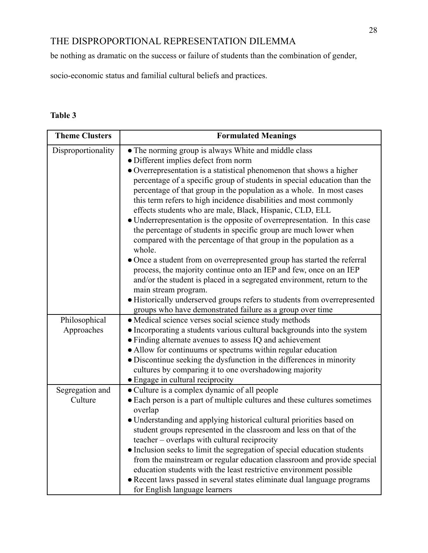be nothing as dramatic on the success or failure of students than the combination of gender,

socio-economic status and familial cultural beliefs and practices.

## **Table 3**

| <b>Theme Clusters</b>       | <b>Formulated Meanings</b>                                                                                                                                                                                                                                                                                                                                                                                                                                                                                                                                                                                                                                                                                                                                           |
|-----------------------------|----------------------------------------------------------------------------------------------------------------------------------------------------------------------------------------------------------------------------------------------------------------------------------------------------------------------------------------------------------------------------------------------------------------------------------------------------------------------------------------------------------------------------------------------------------------------------------------------------------------------------------------------------------------------------------------------------------------------------------------------------------------------|
| Disproportionality          | • The norming group is always White and middle class<br>· Different implies defect from norm<br>• Overrepresentation is a statistical phenomenon that shows a higher<br>percentage of a specific group of students in special education than the<br>percentage of that group in the population as a whole. In most cases<br>this term refers to high incidence disabilities and most commonly<br>effects students who are male, Black, Hispanic, CLD, ELL<br>• Underrepresentation is the opposite of overrepresentation. In this case<br>the percentage of students in specific group are much lower when<br>compared with the percentage of that group in the population as a<br>whole.<br>• Once a student from on overrepresented group has started the referral |
|                             | process, the majority continue onto an IEP and few, once on an IEP<br>and/or the student is placed in a segregated environment, return to the<br>main stream program.<br>· Historically underserved groups refers to students from overrepresented<br>groups who have demonstrated failure as a group over time                                                                                                                                                                                                                                                                                                                                                                                                                                                      |
| Philosophical<br>Approaches | · Medical science verses social science study methods<br>• Incorporating a students various cultural backgrounds into the system<br>• Finding alternate avenues to assess IQ and achievement<br>• Allow for continuums or spectrums within regular education<br>• Discontinue seeking the dysfunction in the differences in minority<br>cultures by comparing it to one overshadowing majority<br>• Engage in cultural reciprocity                                                                                                                                                                                                                                                                                                                                   |
| Segregation and<br>Culture  | • Culture is a complex dynamic of all people<br>• Each person is a part of multiple cultures and these cultures sometimes<br>overlap<br>• Understanding and applying historical cultural priorities based on<br>student groups represented in the classroom and less on that of the<br>teacher – overlaps with cultural reciprocity<br>• Inclusion seeks to limit the segregation of special education students<br>from the mainstream or regular education classroom and provide special<br>education students with the least restrictive environment possible<br>• Recent laws passed in several states eliminate dual language programs<br>for English language learners                                                                                          |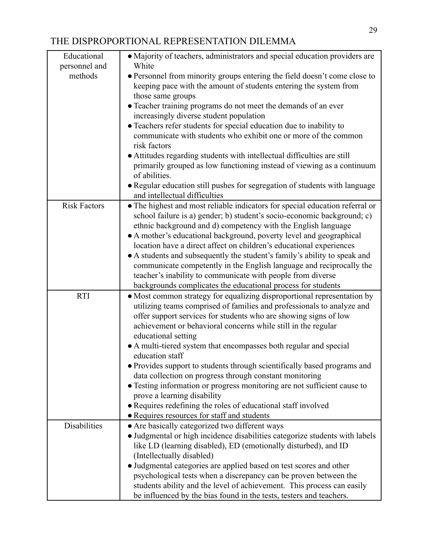| Educational         | • Majority of teachers, administrators and special education providers are                                   |
|---------------------|--------------------------------------------------------------------------------------------------------------|
| personnel and       | White                                                                                                        |
| methods             | • Personnel from minority groups entering the field doesn't come close to                                    |
|                     | keeping pace with the amount of students entering the system from                                            |
|                     | those same groups                                                                                            |
|                     | • Teacher training programs do not meet the demands of an ever                                               |
|                     | increasingly diverse student population                                                                      |
|                     | • Teachers refer students for special education due to inability to                                          |
|                     | communicate with students who exhibit one or more of the common<br>risk factors                              |
|                     | • Attitudes regarding students with intellectual difficulties are still                                      |
|                     | primarily grouped as low functioning instead of viewing as a continuum                                       |
|                     | of abilities.                                                                                                |
|                     | • Regular education still pushes for segregation of students with language                                   |
|                     | and intellectual difficulties                                                                                |
| <b>Risk Factors</b> | • The highest and most reliable indicators for special education referral or                                 |
|                     | school failure is a) gender; b) student's socio-economic background; c)                                      |
|                     | ethnic background and d) competency with the English language                                                |
|                     | • A mother's educational background, poverty level and geographical                                          |
|                     | location have a direct affect on children's educational experiences                                          |
|                     | • A students and subsequently the student's family's ability to speak and                                    |
|                     | communicate competently in the English language and reciprocally the                                         |
|                     | teacher's inability to communicate with people from diverse                                                  |
|                     | backgrounds complicates the educational process for students                                                 |
| <b>RTI</b>          | · Most common strategy for equalizing disproportional representation by                                      |
|                     | utilizing teams comprised of families and professionals to analyze and                                       |
|                     | offer support services for students who are showing signs of low                                             |
|                     | achievement or behavioral concerns while still in the regular                                                |
|                     | educational setting                                                                                          |
|                     | • A multi-tiered system that encompasses both regular and special                                            |
|                     | education staff                                                                                              |
|                     | · Provides support to students through scientifically based programs and                                     |
|                     | data collection on progress through constant monitoring                                                      |
|                     | • Testing information or progress monitoring are not sufficient cause to<br>prove a learning disability      |
|                     |                                                                                                              |
|                     | • Requires redefining the roles of educational staff involved<br>• Requires resources for staff and students |
| <b>Disabilities</b> | • Are basically categorized two different ways                                                               |
|                     | • Judgmental or high incidence disabilities categorize students with labels                                  |
|                     | like LD (learning disabled), ED (emotionally disturbed), and ID                                              |
|                     | (Intellectually disabled)                                                                                    |
|                     | • Judgmental categories are applied based on test scores and other                                           |
|                     | psychological tests when a discrepancy can be proven between the                                             |
|                     | students ability and the level of achievement. This process can easily                                       |
|                     | be influenced by the bias found in the tests, testers and teachers.                                          |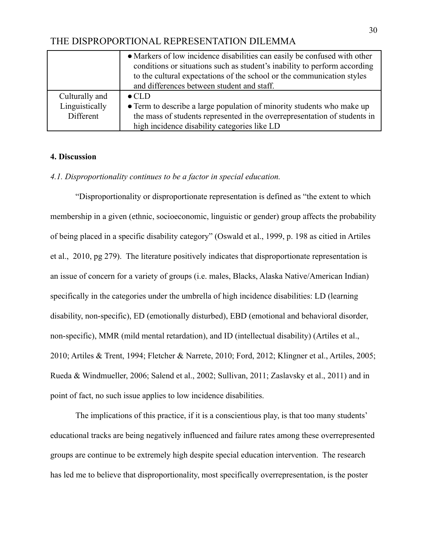|                | • Markers of low incidence disabilities can easily be confused with other<br>conditions or situations such as student's inability to perform according<br>to the cultural expectations of the school or the communication styles<br>and differences between student and staff. |
|----------------|--------------------------------------------------------------------------------------------------------------------------------------------------------------------------------------------------------------------------------------------------------------------------------|
| Culturally and | $\bullet$ CLD                                                                                                                                                                                                                                                                  |
| Linguistically | • Term to describe a large population of minority students who make up                                                                                                                                                                                                         |
| Different      | the mass of students represented in the overrepresentation of students in                                                                                                                                                                                                      |
|                | high incidence disability categories like LD                                                                                                                                                                                                                                   |

#### **4. Discussion**

#### *4.1. Disproportionality continues to be a factor in special education.*

"Disproportionality or disproportionate representation is defined as "the extent to which membership in a given (ethnic, socioeconomic, linguistic or gender) group affects the probability of being placed in a specific disability category" (Oswald et al., 1999, p. 198 as citied in Artiles et al., 2010, pg 279). The literature positively indicates that disproportionate representation is an issue of concern for a variety of groups (i.e. males, Blacks, Alaska Native/American Indian) specifically in the categories under the umbrella of high incidence disabilities: LD (learning disability, non-specific), ED (emotionally disturbed), EBD (emotional and behavioral disorder, non-specific), MMR (mild mental retardation), and ID (intellectual disability) (Artiles et al., 2010; Artiles & Trent, 1994; Fletcher & Narrete, 2010; Ford, 2012; Klingner et al., Artiles, 2005; Rueda & Windmueller, 2006; Salend et al., 2002; Sullivan, 2011; Zaslavsky et al., 2011) and in point of fact, no such issue applies to low incidence disabilities.

The implications of this practice, if it is a conscientious play, is that too many students' educational tracks are being negatively influenced and failure rates among these overrepresented groups are continue to be extremely high despite special education intervention. The research has led me to believe that disproportionality, most specifically overrepresentation, is the poster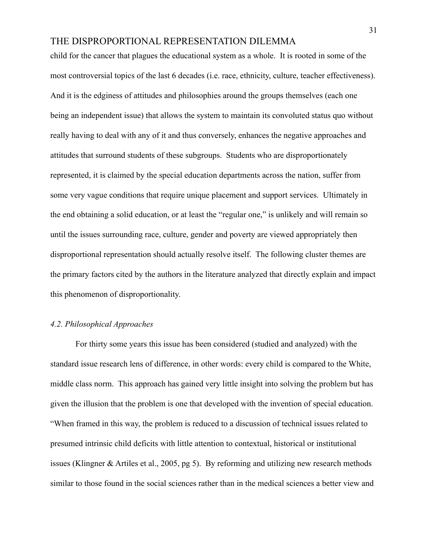child for the cancer that plagues the educational system as a whole. It is rooted in some of the most controversial topics of the last 6 decades (i.e. race, ethnicity, culture, teacher effectiveness). And it is the edginess of attitudes and philosophies around the groups themselves (each one being an independent issue) that allows the system to maintain its convoluted status quo without really having to deal with any of it and thus conversely, enhances the negative approaches and attitudes that surround students of these subgroups. Students who are disproportionately represented, it is claimed by the special education departments across the nation, suffer from some very vague conditions that require unique placement and support services. Ultimately in the end obtaining a solid education, or at least the "regular one," is unlikely and will remain so until the issues surrounding race, culture, gender and poverty are viewed appropriately then disproportional representation should actually resolve itself. The following cluster themes are the primary factors cited by the authors in the literature analyzed that directly explain and impact this phenomenon of disproportionality.

#### *4.2. Philosophical Approaches*

For thirty some years this issue has been considered (studied and analyzed) with the standard issue research lens of difference, in other words: every child is compared to the White, middle class norm. This approach has gained very little insight into solving the problem but has given the illusion that the problem is one that developed with the invention of special education. "When framed in this way, the problem is reduced to a discussion of technical issues related to presumed intrinsic child deficits with little attention to contextual, historical or institutional issues (Klingner & Artiles et al., 2005, pg 5). By reforming and utilizing new research methods similar to those found in the social sciences rather than in the medical sciences a better view and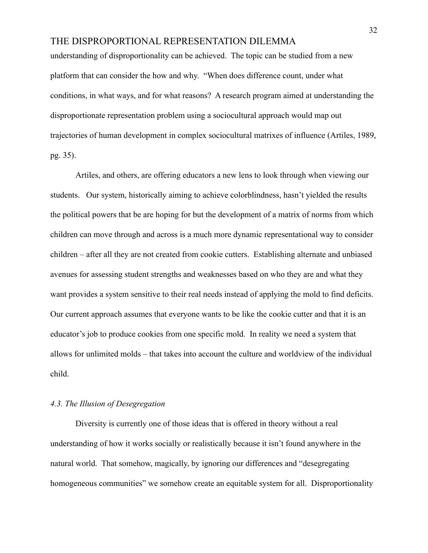understanding of disproportionality can be achieved. The topic can be studied from a new platform that can consider the how and why. "When does difference count, under what conditions, in what ways, and for what reasons? A research program aimed at understanding the disproportionate representation problem using a sociocultural approach would map out trajectories of human development in complex sociocultural matrixes of influence (Artiles, 1989, pg. 35).

Artiles, and others, are offering educators a new lens to look through when viewing our students. Our system, historically aiming to achieve colorblindness, hasn't yielded the results the political powers that be are hoping for but the development of a matrix of norms from which children can move through and across is a much more dynamic representational way to consider children – after all they are not created from cookie cutters. Establishing alternate and unbiased avenues for assessing student strengths and weaknesses based on who they are and what they want provides a system sensitive to their real needs instead of applying the mold to find deficits. Our current approach assumes that everyone wants to be like the cookie cutter and that it is an educator's job to produce cookies from one specific mold. In reality we need a system that allows for unlimited molds – that takes into account the culture and worldview of the individual child.

#### *4.3. The Illusion of Desegregation*

Diversity is currently one of those ideas that is offered in theory without a real understanding of how it works socially or realistically because it isn't found anywhere in the natural world. That somehow, magically, by ignoring our differences and "desegregating homogeneous communities" we somehow create an equitable system for all. Disproportionality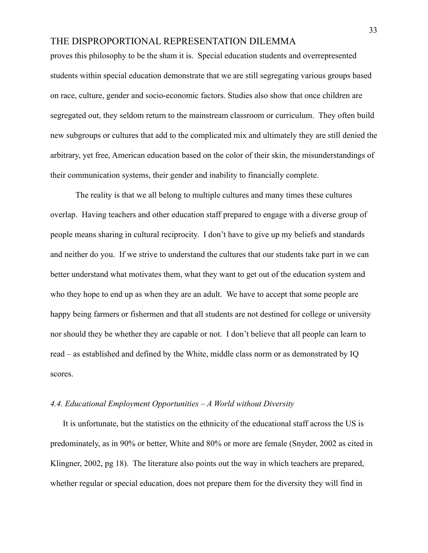proves this philosophy to be the sham it is. Special education students and overrepresented students within special education demonstrate that we are still segregating various groups based on race, culture, gender and socio-economic factors. Studies also show that once children are segregated out, they seldom return to the mainstream classroom or curriculum. They often build new subgroups or cultures that add to the complicated mix and ultimately they are still denied the arbitrary, yet free, American education based on the color of their skin, the misunderstandings of their communication systems, their gender and inability to financially complete.

The reality is that we all belong to multiple cultures and many times these cultures overlap. Having teachers and other education staff prepared to engage with a diverse group of people means sharing in cultural reciprocity. I don't have to give up my beliefs and standards and neither do you. If we strive to understand the cultures that our students take part in we can better understand what motivates them, what they want to get out of the education system and who they hope to end up as when they are an adult. We have to accept that some people are happy being farmers or fishermen and that all students are not destined for college or university nor should they be whether they are capable or not. I don't believe that all people can learn to read – as established and defined by the White, middle class norm or as demonstrated by IQ scores.

#### *4.4. Educational Employment Opportunities – A World without Diversity*

It is unfortunate, but the statistics on the ethnicity of the educational staff across the US is predominately, as in 90% or better, White and 80% or more are female (Snyder, 2002 as cited in Klingner, 2002, pg 18). The literature also points out the way in which teachers are prepared, whether regular or special education, does not prepare them for the diversity they will find in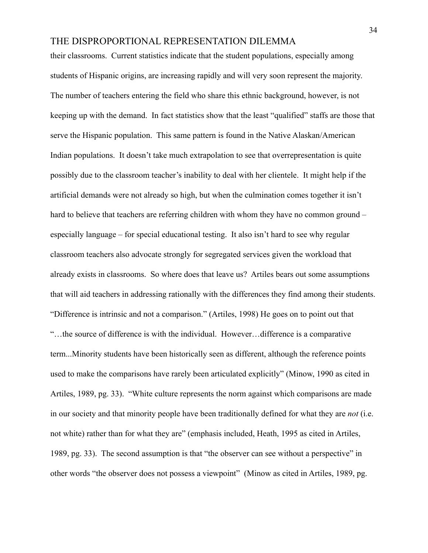their classrooms. Current statistics indicate that the student populations, especially among students of Hispanic origins, are increasing rapidly and will very soon represent the majority. The number of teachers entering the field who share this ethnic background, however, is not keeping up with the demand. In fact statistics show that the least "qualified" staffs are those that serve the Hispanic population. This same pattern is found in the Native Alaskan/American Indian populations. It doesn't take much extrapolation to see that overrepresentation is quite possibly due to the classroom teacher's inability to deal with her clientele. It might help if the artificial demands were not already so high, but when the culmination comes together it isn't hard to believe that teachers are referring children with whom they have no common ground – especially language – for special educational testing. It also isn't hard to see why regular classroom teachers also advocate strongly for segregated services given the workload that already exists in classrooms. So where does that leave us? Artiles bears out some assumptions that will aid teachers in addressing rationally with the differences they find among their students. "Difference is intrinsic and not a comparison." (Artiles, 1998) He goes on to point out that "…the source of difference is with the individual. However…difference is a comparative term...Minority students have been historically seen as different, although the reference points used to make the comparisons have rarely been articulated explicitly" (Minow, 1990 as cited in Artiles, 1989, pg. 33). "White culture represents the norm against which comparisons are made in our society and that minority people have been traditionally defined for what they are *not* (i.e. not white) rather than for what they are" (emphasis included, Heath, 1995 as cited in Artiles, 1989, pg. 33). The second assumption is that "the observer can see without a perspective" in other words "the observer does not possess a viewpoint" (Minow as cited in Artiles, 1989, pg.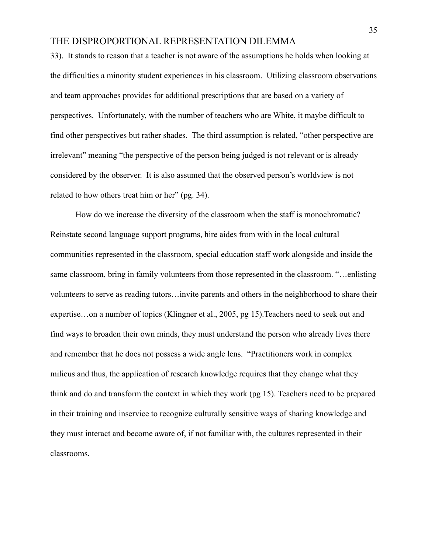33). It stands to reason that a teacher is not aware of the assumptions he holds when looking at the difficulties a minority student experiences in his classroom. Utilizing classroom observations and team approaches provides for additional prescriptions that are based on a variety of perspectives. Unfortunately, with the number of teachers who are White, it maybe difficult to find other perspectives but rather shades. The third assumption is related, "other perspective are irrelevant" meaning "the perspective of the person being judged is not relevant or is already considered by the observer. It is also assumed that the observed person's worldview is not related to how others treat him or her" (pg. 34).

How do we increase the diversity of the classroom when the staff is monochromatic? Reinstate second language support programs, hire aides from with in the local cultural communities represented in the classroom, special education staff work alongside and inside the same classroom, bring in family volunteers from those represented in the classroom. "…enlisting volunteers to serve as reading tutors…invite parents and others in the neighborhood to share their expertise…on a number of topics (Klingner et al., 2005, pg 15).Teachers need to seek out and find ways to broaden their own minds, they must understand the person who already lives there and remember that he does not possess a wide angle lens. "Practitioners work in complex milieus and thus, the application of research knowledge requires that they change what they think and do and transform the context in which they work (pg 15). Teachers need to be prepared in their training and inservice to recognize culturally sensitive ways of sharing knowledge and they must interact and become aware of, if not familiar with, the cultures represented in their classrooms.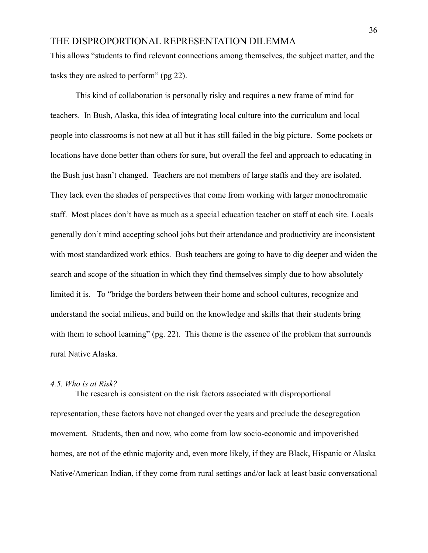This allows "students to find relevant connections among themselves, the subject matter, and the tasks they are asked to perform" (pg 22).

This kind of collaboration is personally risky and requires a new frame of mind for teachers. In Bush, Alaska, this idea of integrating local culture into the curriculum and local people into classrooms is not new at all but it has still failed in the big picture. Some pockets or locations have done better than others for sure, but overall the feel and approach to educating in the Bush just hasn't changed. Teachers are not members of large staffs and they are isolated. They lack even the shades of perspectives that come from working with larger monochromatic staff. Most places don't have as much as a special education teacher on staff at each site. Locals generally don't mind accepting school jobs but their attendance and productivity are inconsistent with most standardized work ethics. Bush teachers are going to have to dig deeper and widen the search and scope of the situation in which they find themselves simply due to how absolutely limited it is. To "bridge the borders between their home and school cultures, recognize and understand the social milieus, and build on the knowledge and skills that their students bring with them to school learning" (pg. 22). This theme is the essence of the problem that surrounds rural Native Alaska.

#### *4.5. Who is at Risk?*

The research is consistent on the risk factors associated with disproportional representation, these factors have not changed over the years and preclude the desegregation movement. Students, then and now, who come from low socio-economic and impoverished homes, are not of the ethnic majority and, even more likely, if they are Black, Hispanic or Alaska Native/American Indian, if they come from rural settings and/or lack at least basic conversational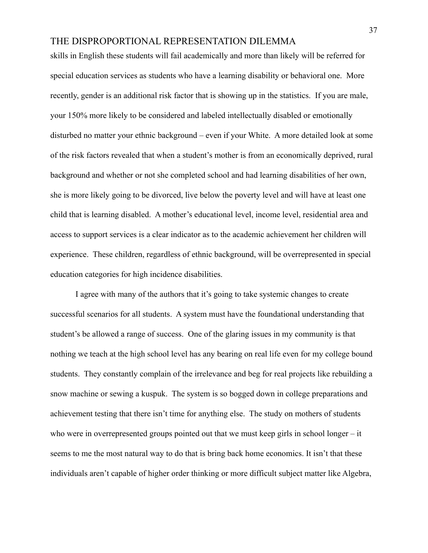skills in English these students will fail academically and more than likely will be referred for special education services as students who have a learning disability or behavioral one. More recently, gender is an additional risk factor that is showing up in the statistics. If you are male, your 150% more likely to be considered and labeled intellectually disabled or emotionally disturbed no matter your ethnic background – even if your White. A more detailed look at some of the risk factors revealed that when a student's mother is from an economically deprived, rural background and whether or not she completed school and had learning disabilities of her own, she is more likely going to be divorced, live below the poverty level and will have at least one child that is learning disabled. A mother's educational level, income level, residential area and access to support services is a clear indicator as to the academic achievement her children will experience. These children, regardless of ethnic background, will be overrepresented in special education categories for high incidence disabilities.

I agree with many of the authors that it's going to take systemic changes to create successful scenarios for all students. A system must have the foundational understanding that student's be allowed a range of success. One of the glaring issues in my community is that nothing we teach at the high school level has any bearing on real life even for my college bound students. They constantly complain of the irrelevance and beg for real projects like rebuilding a snow machine or sewing a kuspuk. The system is so bogged down in college preparations and achievement testing that there isn't time for anything else. The study on mothers of students who were in overrepresented groups pointed out that we must keep girls in school longer – it seems to me the most natural way to do that is bring back home economics. It isn't that these individuals aren't capable of higher order thinking or more difficult subject matter like Algebra,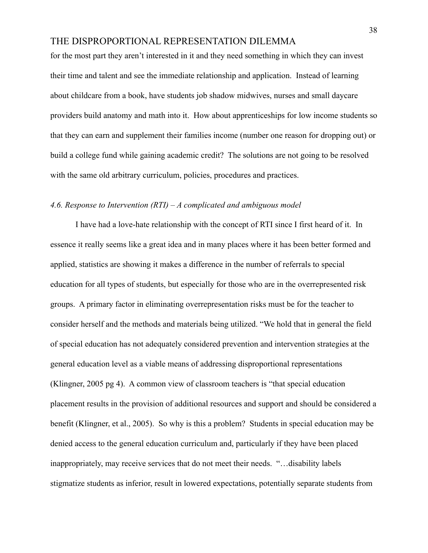for the most part they aren't interested in it and they need something in which they can invest their time and talent and see the immediate relationship and application. Instead of learning about childcare from a book, have students job shadow midwives, nurses and small daycare providers build anatomy and math into it. How about apprenticeships for low income students so that they can earn and supplement their families income (number one reason for dropping out) or build a college fund while gaining academic credit? The solutions are not going to be resolved with the same old arbitrary curriculum, policies, procedures and practices.

#### *4.6. Response to Intervention (RTI) – A complicated and ambiguous model*

I have had a love-hate relationship with the concept of RTI since I first heard of it. In essence it really seems like a great idea and in many places where it has been better formed and applied, statistics are showing it makes a difference in the number of referrals to special education for all types of students, but especially for those who are in the overrepresented risk groups. A primary factor in eliminating overrepresentation risks must be for the teacher to consider herself and the methods and materials being utilized. "We hold that in general the field of special education has not adequately considered prevention and intervention strategies at the general education level as a viable means of addressing disproportional representations (Klingner, 2005 pg 4). A common view of classroom teachers is "that special education placement results in the provision of additional resources and support and should be considered a benefit (Klingner, et al., 2005). So why is this a problem? Students in special education may be denied access to the general education curriculum and, particularly if they have been placed inappropriately, may receive services that do not meet their needs. "…disability labels stigmatize students as inferior, result in lowered expectations, potentially separate students from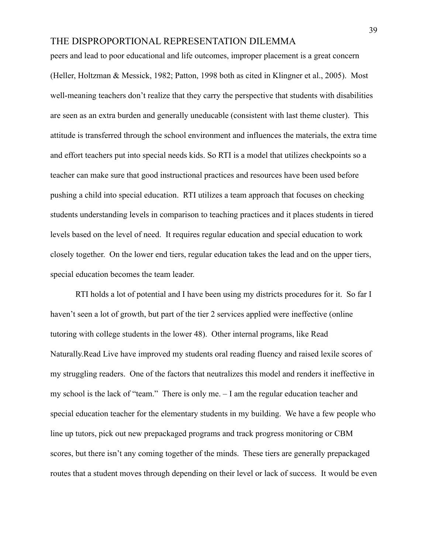peers and lead to poor educational and life outcomes, improper placement is a great concern (Heller, Holtzman & Messick, 1982; Patton, 1998 both as cited in Klingner et al., 2005). Most well-meaning teachers don't realize that they carry the perspective that students with disabilities are seen as an extra burden and generally uneducable (consistent with last theme cluster). This attitude is transferred through the school environment and influences the materials, the extra time and effort teachers put into special needs kids. So RTI is a model that utilizes checkpoints so a teacher can make sure that good instructional practices and resources have been used before pushing a child into special education. RTI utilizes a team approach that focuses on checking students understanding levels in comparison to teaching practices and it places students in tiered levels based on the level of need. It requires regular education and special education to work closely together. On the lower end tiers, regular education takes the lead and on the upper tiers, special education becomes the team leader.

RTI holds a lot of potential and I have been using my districts procedures for it. So far I haven't seen a lot of growth, but part of the tier 2 services applied were ineffective (online tutoring with college students in the lower 48). Other internal programs, like Read Naturally.Read Live have improved my students oral reading fluency and raised lexile scores of my struggling readers. One of the factors that neutralizes this model and renders it ineffective in my school is the lack of "team." There is only me. – I am the regular education teacher and special education teacher for the elementary students in my building. We have a few people who line up tutors, pick out new prepackaged programs and track progress monitoring or CBM scores, but there isn't any coming together of the minds. These tiers are generally prepackaged routes that a student moves through depending on their level or lack of success. It would be even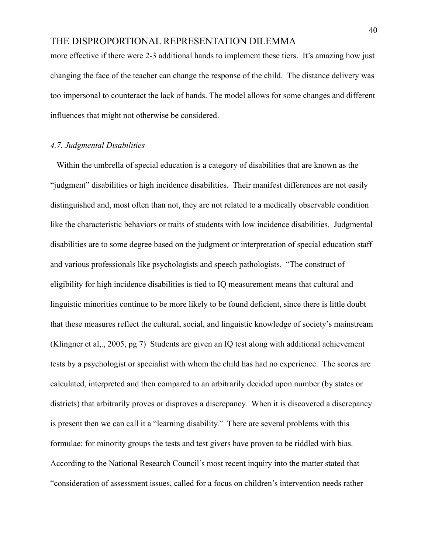more effective if there were 2-3 additional hands to implement these tiers. It's amazing how just changing the face of the teacher can change the response of the child. The distance delivery was too impersonal to counteract the lack of hands. The model allows for some changes and different influences that might not otherwise be considered.

#### *4.7. Judgmental Disabilities*

Within the umbrella of special education is a category of disabilities that are known as the "judgment" disabilities or high incidence disabilities. Their manifest differences are not easily distinguished and, most often than not, they are not related to a medically observable condition like the characteristic behaviors or traits of students with low incidence disabilities. Judgmental disabilities are to some degree based on the judgment or interpretation of special education staff and various professionals like psychologists and speech pathologists. "The construct of eligibility for high incidence disabilities is tied to IQ measurement means that cultural and linguistic minorities continue to be more likely to be found deficient, since there is little doubt that these measures reflect the cultural, social, and linguistic knowledge of society's mainstream (Klingner et al,., 2005, pg 7) Students are given an IQ test along with additional achievement tests by a psychologist or specialist with whom the child has had no experience. The scores are calculated, interpreted and then compared to an arbitrarily decided upon number (by states or districts) that arbitrarily proves or disproves a discrepancy. When it is discovered a discrepancy is present then we can call it a "learning disability." There are several problems with this formulae: for minority groups the tests and test givers have proven to be riddled with bias. According to the National Research Council's most recent inquiry into the matter stated that "consideration of assessment issues, called for a focus on children's intervention needs rather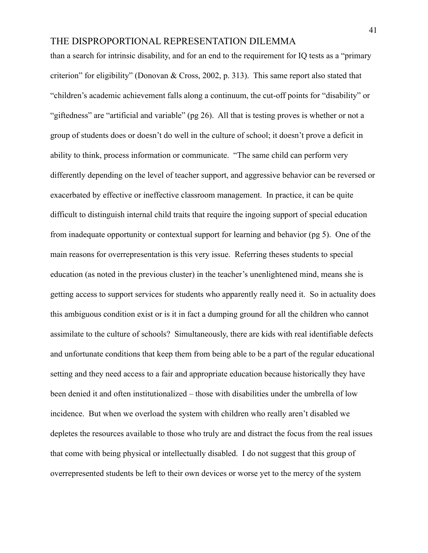than a search for intrinsic disability, and for an end to the requirement for IQ tests as a "primary criterion" for eligibility" (Donovan & Cross, 2002, p. 313). This same report also stated that "children's academic achievement falls along a continuum, the cut-off points for "disability" or "giftedness" are "artificial and variable" (pg 26). All that is testing proves is whether or not a group of students does or doesn't do well in the culture of school; it doesn't prove a deficit in ability to think, process information or communicate. "The same child can perform very differently depending on the level of teacher support, and aggressive behavior can be reversed or exacerbated by effective or ineffective classroom management. In practice, it can be quite difficult to distinguish internal child traits that require the ingoing support of special education from inadequate opportunity or contextual support for learning and behavior (pg 5). One of the main reasons for overrepresentation is this very issue. Referring theses students to special education (as noted in the previous cluster) in the teacher's unenlightened mind, means she is getting access to support services for students who apparently really need it. So in actuality does this ambiguous condition exist or is it in fact a dumping ground for all the children who cannot assimilate to the culture of schools? Simultaneously, there are kids with real identifiable defects and unfortunate conditions that keep them from being able to be a part of the regular educational setting and they need access to a fair and appropriate education because historically they have been denied it and often institutionalized – those with disabilities under the umbrella of low incidence. But when we overload the system with children who really aren't disabled we depletes the resources available to those who truly are and distract the focus from the real issues that come with being physical or intellectually disabled. I do not suggest that this group of overrepresented students be left to their own devices or worse yet to the mercy of the system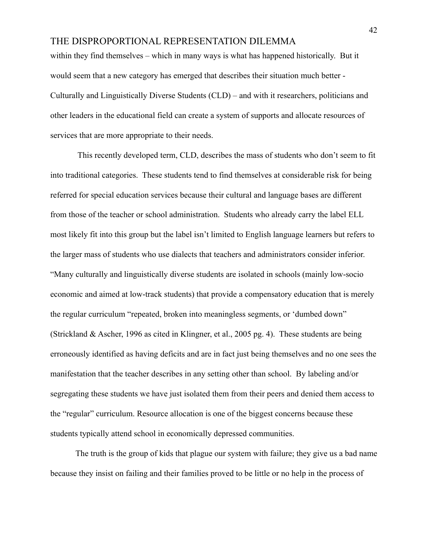within they find themselves – which in many ways is what has happened historically. But it would seem that a new category has emerged that describes their situation much better - Culturally and Linguistically Diverse Students (CLD) – and with it researchers, politicians and other leaders in the educational field can create a system of supports and allocate resources of services that are more appropriate to their needs.

This recently developed term, CLD, describes the mass of students who don't seem to fit into traditional categories. These students tend to find themselves at considerable risk for being referred for special education services because their cultural and language bases are different from those of the teacher or school administration. Students who already carry the label ELL most likely fit into this group but the label isn't limited to English language learners but refers to the larger mass of students who use dialects that teachers and administrators consider inferior. "Many culturally and linguistically diverse students are isolated in schools (mainly low-socio economic and aimed at low-track students) that provide a compensatory education that is merely the regular curriculum "repeated, broken into meaningless segments, or 'dumbed down" (Strickland & Ascher, 1996 as cited in Klingner, et al., 2005 pg. 4). These students are being erroneously identified as having deficits and are in fact just being themselves and no one sees the manifestation that the teacher describes in any setting other than school. By labeling and/or segregating these students we have just isolated them from their peers and denied them access to the "regular" curriculum. Resource allocation is one of the biggest concerns because these students typically attend school in economically depressed communities.

The truth is the group of kids that plague our system with failure; they give us a bad name because they insist on failing and their families proved to be little or no help in the process of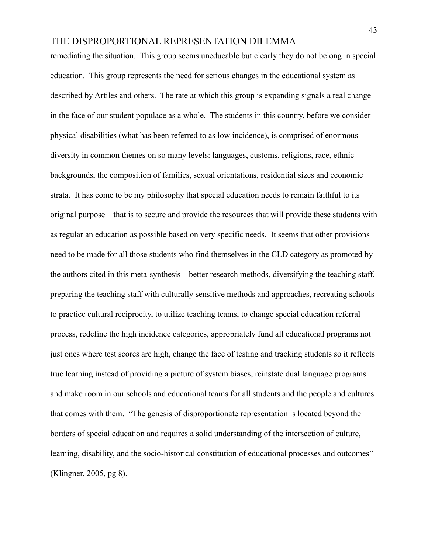remediating the situation. This group seems uneducable but clearly they do not belong in special education. This group represents the need for serious changes in the educational system as described by Artiles and others. The rate at which this group is expanding signals a real change in the face of our student populace as a whole. The students in this country, before we consider physical disabilities (what has been referred to as low incidence), is comprised of enormous diversity in common themes on so many levels: languages, customs, religions, race, ethnic backgrounds, the composition of families, sexual orientations, residential sizes and economic strata. It has come to be my philosophy that special education needs to remain faithful to its original purpose – that is to secure and provide the resources that will provide these students with as regular an education as possible based on very specific needs. It seems that other provisions need to be made for all those students who find themselves in the CLD category as promoted by the authors cited in this meta-synthesis – better research methods, diversifying the teaching staff, preparing the teaching staff with culturally sensitive methods and approaches, recreating schools to practice cultural reciprocity, to utilize teaching teams, to change special education referral process, redefine the high incidence categories, appropriately fund all educational programs not just ones where test scores are high, change the face of testing and tracking students so it reflects true learning instead of providing a picture of system biases, reinstate dual language programs and make room in our schools and educational teams for all students and the people and cultures that comes with them. "The genesis of disproportionate representation is located beyond the borders of special education and requires a solid understanding of the intersection of culture, learning, disability, and the socio-historical constitution of educational processes and outcomes" (Klingner, 2005, pg 8).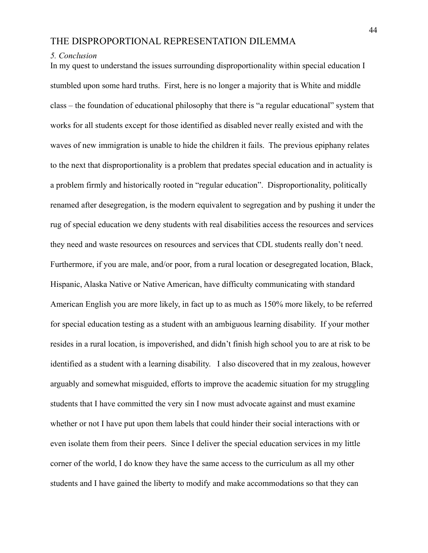#### *5. Conclusion*

In my quest to understand the issues surrounding disproportionality within special education I stumbled upon some hard truths. First, here is no longer a majority that is White and middle class – the foundation of educational philosophy that there is "a regular educational" system that works for all students except for those identified as disabled never really existed and with the waves of new immigration is unable to hide the children it fails. The previous epiphany relates to the next that disproportionality is a problem that predates special education and in actuality is a problem firmly and historically rooted in "regular education". Disproportionality, politically renamed after desegregation, is the modern equivalent to segregation and by pushing it under the rug of special education we deny students with real disabilities access the resources and services they need and waste resources on resources and services that CDL students really don't need. Furthermore, if you are male, and/or poor, from a rural location or desegregated location, Black, Hispanic, Alaska Native or Native American, have difficulty communicating with standard American English you are more likely, in fact up to as much as 150% more likely, to be referred for special education testing as a student with an ambiguous learning disability. If your mother resides in a rural location, is impoverished, and didn't finish high school you to are at risk to be identified as a student with a learning disability. I also discovered that in my zealous, however arguably and somewhat misguided, efforts to improve the academic situation for my struggling students that I have committed the very sin I now must advocate against and must examine whether or not I have put upon them labels that could hinder their social interactions with or even isolate them from their peers. Since I deliver the special education services in my little corner of the world, I do know they have the same access to the curriculum as all my other students and I have gained the liberty to modify and make accommodations so that they can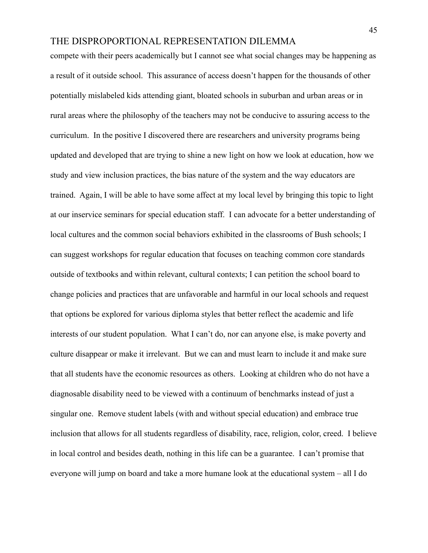compete with their peers academically but I cannot see what social changes may be happening as a result of it outside school. This assurance of access doesn't happen for the thousands of other potentially mislabeled kids attending giant, bloated schools in suburban and urban areas or in rural areas where the philosophy of the teachers may not be conducive to assuring access to the curriculum. In the positive I discovered there are researchers and university programs being updated and developed that are trying to shine a new light on how we look at education, how we study and view inclusion practices, the bias nature of the system and the way educators are trained. Again, I will be able to have some affect at my local level by bringing this topic to light at our inservice seminars for special education staff. I can advocate for a better understanding of local cultures and the common social behaviors exhibited in the classrooms of Bush schools; I can suggest workshops for regular education that focuses on teaching common core standards outside of textbooks and within relevant, cultural contexts; I can petition the school board to change policies and practices that are unfavorable and harmful in our local schools and request that options be explored for various diploma styles that better reflect the academic and life interests of our student population. What I can't do, nor can anyone else, is make poverty and culture disappear or make it irrelevant. But we can and must learn to include it and make sure that all students have the economic resources as others. Looking at children who do not have a diagnosable disability need to be viewed with a continuum of benchmarks instead of just a singular one. Remove student labels (with and without special education) and embrace true inclusion that allows for all students regardless of disability, race, religion, color, creed. I believe in local control and besides death, nothing in this life can be a guarantee. I can't promise that everyone will jump on board and take a more humane look at the educational system – all I do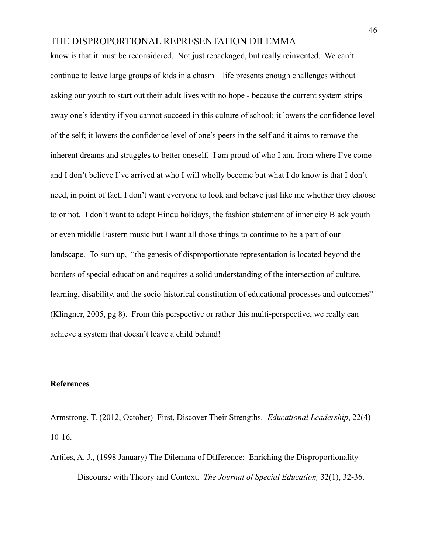know is that it must be reconsidered. Not just repackaged, but really reinvented. We can't continue to leave large groups of kids in a chasm – life presents enough challenges without asking our youth to start out their adult lives with no hope - because the current system strips away one's identity if you cannot succeed in this culture of school; it lowers the confidence level of the self; it lowers the confidence level of one's peers in the self and it aims to remove the inherent dreams and struggles to better oneself. I am proud of who I am, from where I've come and I don't believe I've arrived at who I will wholly become but what I do know is that I don't need, in point of fact, I don't want everyone to look and behave just like me whether they choose to or not. I don't want to adopt Hindu holidays, the fashion statement of inner city Black youth or even middle Eastern music but I want all those things to continue to be a part of our landscape. To sum up, "the genesis of disproportionate representation is located beyond the borders of special education and requires a solid understanding of the intersection of culture, learning, disability, and the socio-historical constitution of educational processes and outcomes" (Klingner, 2005, pg 8). From this perspective or rather this multi-perspective, we really can achieve a system that doesn't leave a child behind!

#### **References**

Armstrong, T. (2012, October) First, Discover Their Strengths. *Educational Leadership*, 22(4) 10-16.

Artiles, A. J., (1998 January) The Dilemma of Difference: Enriching the Disproportionality Discourse with Theory and Context. *The Journal of Special Education,* 32(1), 32-36.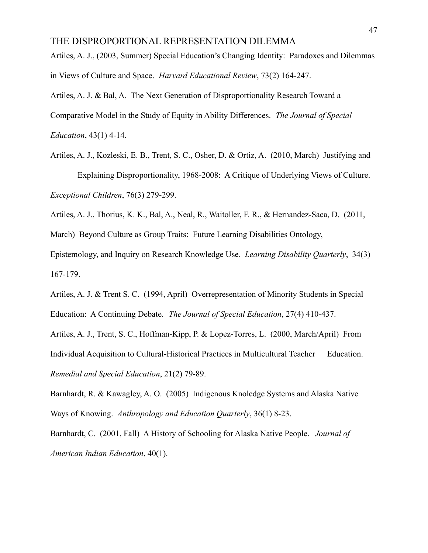Artiles, A. J., (2003, Summer) Special Education's Changing Identity: Paradoxes and Dilemmas in Views of Culture and Space. *Harvard Educational Review*, 73(2) 164-247.

Artiles, A. J. & Bal, A. The Next Generation of Disproportionality Research Toward a Comparative Model in the Study of Equity in Ability Differences. *The Journal of Special Education*, 43(1) 4-14.

Artiles, A. J., Kozleski, E. B., Trent, S. C., Osher, D. & Ortiz, A. (2010, March) Justifying and Explaining Disproportionality, 1968-2008: A Critique of Underlying Views of Culture. *Exceptional Children*, 76(3) 279-299.

Artiles, A. J., Thorius, K. K., Bal, A., Neal, R., Waitoller, F. R., & Hernandez-Saca, D. (2011,

March) Beyond Culture as Group Traits: Future Learning Disabilities Ontology,

Epistemology, and Inquiry on Research Knowledge Use. *Learning Disability Quarterly*, 34(3) 167-179.

Artiles, A. J. & Trent S. C. (1994, April) Overrepresentation of Minority Students in Special Education: A Continuing Debate. *The Journal of Special Education*, 27(4) 410-437.

Artiles, A. J., Trent, S. C., Hoffman-Kipp, P. & Lopez-Torres, L. (2000, March/April) From Individual Acquisition to Cultural-Historical Practices in Multicultural Teacher Education. *Remedial and Special Education*, 21(2) 79-89.

Barnhardt, R. & Kawagley, A. O. (2005) Indigenous Knoledge Systems and Alaska Native Ways of Knowing. *Anthropology and Education Quarterly*, 36(1) 8-23.

Barnhardt, C. (2001, Fall) A History of Schooling for Alaska Native People. *Journal of American Indian Education*, 40(1).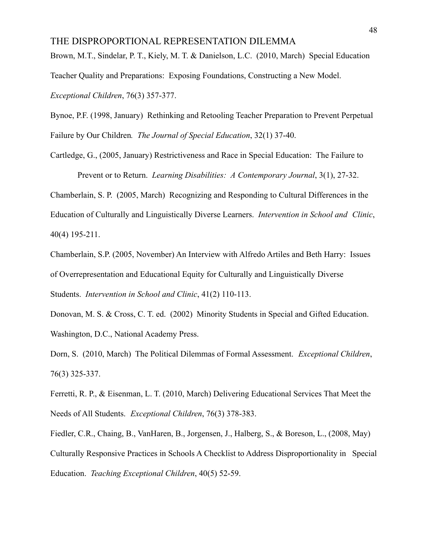Brown, M.T., Sindelar, P. T., Kiely, M. T. & Danielson, L.C. (2010, March) Special Education Teacher Quality and Preparations: Exposing Foundations, Constructing a New Model. *Exceptional Children*, 76(3) 357-377.

Bynoe, P.F. (1998, January) Rethinking and Retooling Teacher Preparation to Prevent Perpetual Failure by Our Children*. The Journal of Special Education*, 32(1) 37-40.

Cartledge, G., (2005, January) Restrictiveness and Race in Special Education: The Failure to Prevent or to Return. *Learning Disabilities: A Contemporary Journal*, 3(1), 27-32.

Chamberlain, S. P. (2005, March) Recognizing and Responding to Cultural Differences in the Education of Culturally and Linguistically Diverse Learners. *Intervention in School and Clinic*, 40(4) 195-211.

Chamberlain, S.P. (2005, November) An Interview with Alfredo Artiles and Beth Harry: Issues of Overrepresentation and Educational Equity for Culturally and Linguistically Diverse Students. *Intervention in School and Clinic*, 41(2) 110-113.

Donovan, M. S. & Cross, C. T. ed. (2002) Minority Students in Special and Gifted Education. Washington, D.C., National Academy Press.

Dorn, S. (2010, March) The Political Dilemmas of Formal Assessment. *Exceptional Children*, 76(3) 325-337.

Ferretti, R. P., & Eisenman, L. T. (2010, March) Delivering Educational Services That Meet the Needs of All Students. *Exceptional Children*, 76(3) 378-383.

Fiedler, C.R., Chaing, B., VanHaren, B., Jorgensen, J., Halberg, S., & Boreson, L., (2008, May) Culturally Responsive Practices in Schools A Checklist to Address Disproportionality in Special Education. *Teaching Exceptional Children*, 40(5) 52-59.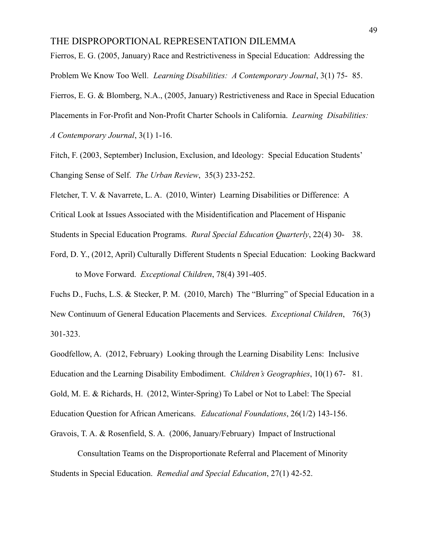Fierros, E. G. (2005, January) Race and Restrictiveness in Special Education: Addressing the Problem We Know Too Well*. Learning Disabilities: A Contemporary Journal*, 3(1) 75- 85.

Fierros, E. G. & Blomberg, N.A., (2005, January) Restrictiveness and Race in Special Education

Placements in For-Profit and Non-Profit Charter Schools in California. *Learning Disabilities:*

*A Contemporary Journal*, 3(1) 1-16.

Fitch, F. (2003, September) Inclusion, Exclusion, and Ideology: Special Education Students' Changing Sense of Self. *The Urban Review*, 35(3) 233-252.

Fletcher, T. V. & Navarrete, L. A. (2010, Winter) Learning Disabilities or Difference: A

Critical Look at Issues Associated with the Misidentification and Placement of Hispanic

Students in Special Education Programs. *Rural Special Education Quarterly*, 22(4) 30- 38.

Ford, D. Y., (2012, April) Culturally Different Students n Special Education: Looking Backward to Move Forward. *Exceptional Children*, 78(4) 391-405.

Fuchs D., Fuchs, L.S. & Stecker, P. M. (2010, March) The "Blurring" of Special Education in a New Continuum of General Education Placements and Services. *Exceptional Children*, 76(3) 301-323.

Goodfellow, A. (2012, February) Looking through the Learning Disability Lens: Inclusive Education and the Learning Disability Embodiment. *Children's Geographies*, 10(1) 67- 81. Gold, M. E. & Richards, H. (2012, Winter-Spring) To Label or Not to Label: The Special Education Question for African Americans. *Educational Foundations*, 26(1/2) 143-156. Gravois, T. A. & Rosenfield, S. A. (2006, January/February) Impact of Instructional

Consultation Teams on the Disproportionate Referral and Placement of Minority Students in Special Education. *Remedial and Special Education*, 27(1) 42-52.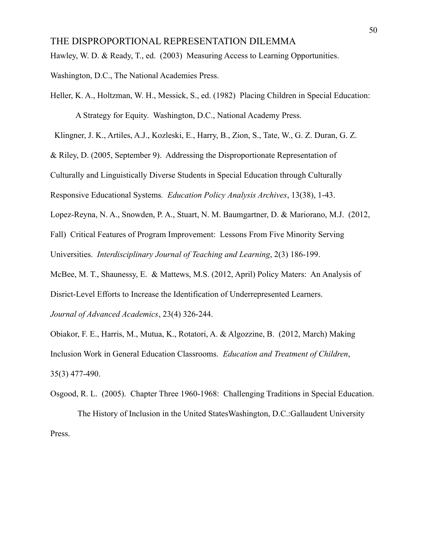Hawley, W. D. & Ready, T., ed. (2003) Measuring Access to Learning Opportunities.

Washington, D.C., The National Academies Press.

Heller, K. A., Holtzman, W. H., Messick, S., ed. (1982) Placing Children in Special Education: A Strategy for Equity. Washington, D.C., National Academy Press.

Klingner, J. K., Artiles, A.J., Kozleski, E., Harry, B., Zion, S., Tate, W., G. Z. Duran, G. Z.

& Riley, D. (2005, September 9). Addressing the Disproportionate Representation of

Culturally and Linguistically Diverse Students in Special Education through Culturally

Responsive Educational Systems*. Education Policy Analysis Archives*, 13(38), 1-43.

Lopez-Reyna, N. A., Snowden, P. A., Stuart, N. M. Baumgartner, D. & Mariorano, M.J. (2012,

Fall) Critical Features of Program Improvement: Lessons From Five Minority Serving

Universities. *Interdisciplinary Journal of Teaching and Learning*, 2(3) 186-199.

McBee, M. T., Shaunessy, E. & Mattews, M.S. (2012, April) Policy Maters: An Analysis of Disrict-Level Efforts to Increase the Identification of Underrepresented Learners.

*Journal of Advanced Academics*, 23(4) 326-244.

Obiakor, F. E., Harris, M., Mutua, K., Rotatori, A. & Algozzine, B. (2012, March) Making Inclusion Work in General Education Classrooms. *Education and Treatment of Children*, 35(3) 477-490.

Osgood, R. L. (2005). Chapter Three 1960-1968: Challenging Traditions in Special Education. The History of Inclusion in the United StatesWashington, D.C.:Gallaudent University Press.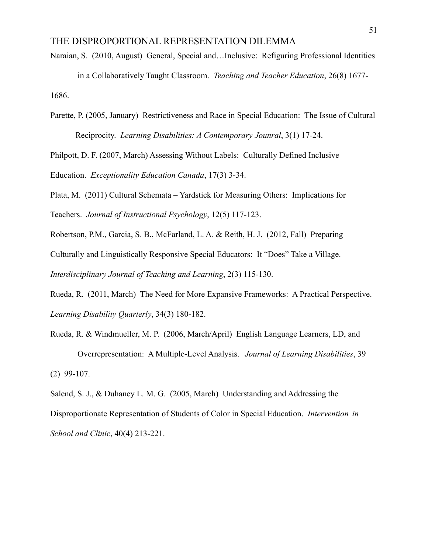- Naraian, S. (2010, August) General, Special and…Inclusive: Refiguring Professional Identities in a Collaboratively Taught Classroom. *Teaching and Teacher Education*, 26(8) 1677- 1686.
- Parette, P. (2005, January) Restrictiveness and Race in Special Education: The Issue of Cultural Reciprocity. *Learning Disabilities: A Contemporary Jounral*, 3(1) 17-24.

Philpott, D. F. (2007, March) Assessing Without Labels: Culturally Defined Inclusive Education. *Exceptionality Education Canada*, 17(3) 3-34.

Plata, M. (2011) Cultural Schemata – Yardstick for Measuring Others: Implications for Teachers. *Journal of Instructional Psychology*, 12(5) 117-123.

Robertson, P.M., Garcia, S. B., McFarland, L. A. & Reith, H. J. (2012, Fall) Preparing

Culturally and Linguistically Responsive Special Educators: It "Does" Take a Village.

*Interdisciplinary Journal of Teaching and Learning*, 2(3) 115-130.

Rueda, R. (2011, March) The Need for More Expansive Frameworks: A Practical Perspective. *Learning Disability Quarterly*, 34(3) 180-182.

Rueda, R. & Windmueller, M. P. (2006, March/April) English Language Learners, LD, and Overrepresentation: A Multiple-Level Analysis. *Journal of Learning Disabilities*, 39 (2) 99-107.

Salend, S. J., & Duhaney L. M. G. (2005, March) Understanding and Addressing the Disproportionate Representation of Students of Color in Special Education. *Intervention in School and Clinic*, 40(4) 213-221.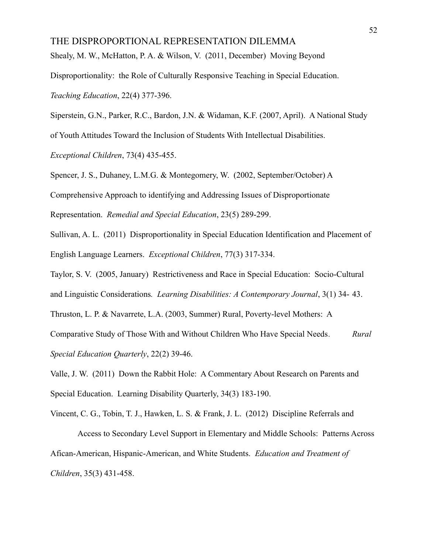Shealy, M. W., McHatton, P. A. & Wilson, V. (2011, December) Moving Beyond

Disproportionality: the Role of Culturally Responsive Teaching in Special Education.

*Teaching Education*, 22(4) 377-396.

Siperstein, G.N., Parker, R.C., Bardon, J.N. & Widaman, K.F. (2007, April). A National Study

of Youth Attitudes Toward the Inclusion of Students With Intellectual Disabilities.

*Exceptional Children*, 73(4) 435-455.

Spencer, J. S., Duhaney, L.M.G. & Montegomery, W. (2002, September/October) A

Comprehensive Approach to identifying and Addressing Issues of Disproportionate

Representation. *Remedial and Special Education*, 23(5) 289-299.

Sullivan, A. L. (2011) Disproportionality in Special Education Identification and Placement of English Language Learners. *Exceptional Children*, 77(3) 317-334.

Taylor, S. V. (2005, January) Restrictiveness and Race in Special Education: Socio-Cultural and Linguistic Considerations*. Learning Disabilities: A Contemporary Journal*, 3(1) 34- 43.

Thruston, L. P. & Navarrete, L.A. (2003, Summer) Rural, Poverty-level Mothers: A

Comparative Study of Those With and Without Children Who Have Special Needs*. Rural Special Education Quarterly*, 22(2) 39-46.

Valle, J. W. (2011) Down the Rabbit Hole: A Commentary About Research on Parents and Special Education. Learning Disability Quarterly, 34(3) 183-190.

Vincent, C. G., Tobin, T. J., Hawken, L. S. & Frank, J. L. (2012) Discipline Referrals and Access to Secondary Level Support in Elementary and Middle Schools: Patterns Across Afican-American, Hispanic-American, and White Students. *Education and Treatment of Children*, 35(3) 431-458.